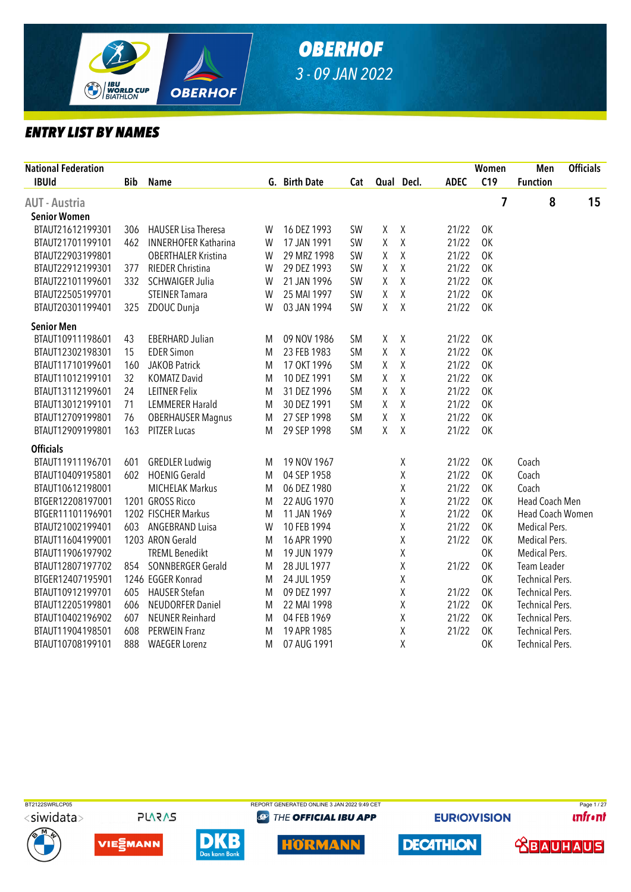

| <b>National Federation</b> |            |                             |   |               |           |                    |              |             | Women     | Men                    | <b>Officials</b> |
|----------------------------|------------|-----------------------------|---|---------------|-----------|--------------------|--------------|-------------|-----------|------------------------|------------------|
| <b>IBUId</b>               | <b>Bib</b> | <b>Name</b>                 |   | G. Birth Date | Cat       |                    | Qual Decl.   | <b>ADEC</b> | C19       | <b>Function</b>        |                  |
| <b>AUT - Austria</b>       |            |                             |   |               |           |                    |              |             | 7         | 8                      | 15               |
| <b>Senior Women</b>        |            |                             |   |               |           |                    |              |             |           |                        |                  |
| BTAUT21612199301           | 306        | <b>HAUSER Lisa Theresa</b>  | W | 16 DEZ 1993   | SW        | χ                  | $\pmb{\chi}$ | 21/22       | 0K        |                        |                  |
| BTAUT21701199101           | 462        | <b>INNERHOFER Katharina</b> | W | 17 JAN 1991   | SW        | χ                  | $\mathsf X$  | 21/22       | 0K        |                        |                  |
| BTAUT22903199801           |            | <b>OBERTHALER Kristina</b>  | W | 29 MRZ 1998   | <b>SW</b> | χ                  | Χ            | 21/22       | 0K        |                        |                  |
| BTAUT22912199301           | 377        | RIEDER Christina            | W | 29 DEZ 1993   | <b>SW</b> | χ                  | Χ            | 21/22       | 0K        |                        |                  |
| BTAUT22101199601           | 332        | <b>SCHWAIGER Julia</b>      | W | 21 JAN 1996   | <b>SW</b> | Χ                  | $\mathsf X$  | 21/22       | 0K        |                        |                  |
| BTAUT22505199701           |            | <b>STEINER Tamara</b>       | W | 25 MAI 1997   | <b>SW</b> | χ                  | $\mathsf X$  | 21/22       | 0K        |                        |                  |
| BTAUT20301199401           | 325        | ZDOUC Dunja                 | W | 03 JAN 1994   | <b>SW</b> | $\mathsf{X}% _{0}$ | $\chi$       | 21/22       | <b>OK</b> |                        |                  |
| <b>Senior Men</b>          |            |                             |   |               |           |                    |              |             |           |                        |                  |
| BTAUT10911198601           | 43         | <b>EBERHARD Julian</b>      | M | 09 NOV 1986   | <b>SM</b> | χ                  | Χ            | 21/22       | OK        |                        |                  |
| BTAUT12302198301           | 15         | <b>EDER Simon</b>           | M | 23 FEB 1983   | <b>SM</b> | Χ                  | Χ            | 21/22       | <b>OK</b> |                        |                  |
| BTAUT11710199601           | 160        | <b>JAKOB Patrick</b>        | M | 17 OKT 1996   | <b>SM</b> | Χ                  | $\mathsf X$  | 21/22       | 0K        |                        |                  |
| BTAUT11012199101           | 32         | <b>KOMATZ David</b>         | M | 10 DEZ 1991   | <b>SM</b> | Χ                  | $\mathsf X$  | 21/22       | 0K        |                        |                  |
| BTAUT13112199601           | 24         | <b>LEITNER Felix</b>        | M | 31 DEZ 1996   | <b>SM</b> | Χ                  | Χ            | 21/22       | 0K        |                        |                  |
| BTAUT13012199101           | 71         | <b>LEMMERER Harald</b>      | M | 30 DEZ 1991   | <b>SM</b> | Χ                  | Χ            | 21/22       | 0K        |                        |                  |
| BTAUT12709199801           | 76         | <b>OBERHAUSER Magnus</b>    | M | 27 SEP 1998   | <b>SM</b> | Χ                  | Χ            | 21/22       | 0K        |                        |                  |
| BTAUT12909199801           | 163        | <b>PITZER Lucas</b>         | M | 29 SEP 1998   | <b>SM</b> | X                  | $\sf X$      | 21/22       | <b>OK</b> |                        |                  |
| <b>Officials</b>           |            |                             |   |               |           |                    |              |             |           |                        |                  |
| BTAUT11911196701           | 601        | <b>GREDLER Ludwig</b>       | M | 19 NOV 1967   |           |                    | χ            | 21/22       | OK        | Coach                  |                  |
| BTAUT10409195801           | 602        | <b>HOENIG Gerald</b>        | M | 04 SEP 1958   |           |                    | Χ            | 21/22       | 0K        | Coach                  |                  |
| BTAUT10612198001           |            | <b>MICHELAK Markus</b>      | M | 06 DEZ 1980   |           |                    | Χ            | 21/22       | 0K        | Coach                  |                  |
| BTGER12208197001           |            | 1201 GROSS Ricco            | M | 22 AUG 1970   |           |                    | χ            | 21/22       | OK        | Head Coach Men         |                  |
| BTGER11101196901           |            | 1202 FISCHER Markus         | M | 11 JAN 1969   |           |                    | Χ            | 21/22       | 0K        | Head Coach Women       |                  |
| BTAUT21002199401           | 603        | <b>ANGEBRAND Luisa</b>      | W | 10 FEB 1994   |           |                    | Χ            | 21/22       | 0K        | Medical Pers.          |                  |
| BTAUT11604199001           |            | 1203 ARON Gerald            | M | 16 APR 1990   |           |                    | Χ            | 21/22       | OK        | Medical Pers.          |                  |
| BTAUT11906197902           |            | <b>TREML Benedikt</b>       | M | 19 JUN 1979   |           |                    | Χ            |             | 0K        | Medical Pers.          |                  |
| BTAUT12807197702           | 854        | SONNBERGER Gerald           | M | 28 JUL 1977   |           |                    | Χ            | 21/22       | <b>OK</b> | Team Leader            |                  |
| BTGER12407195901           |            | 1246 EGGER Konrad           | M | 24 JUL 1959   |           |                    | χ            |             | 0K        | <b>Technical Pers.</b> |                  |
| BTAUT10912199701           | 605        | <b>HAUSER Stefan</b>        | M | 09 DEZ 1997   |           |                    | Χ            | 21/22       | OK        | <b>Technical Pers.</b> |                  |
| BTAUT12205199801           | 606        | <b>NEUDORFER Daniel</b>     | M | 22 MAI 1998   |           |                    | Χ            | 21/22       | 0K        | <b>Technical Pers.</b> |                  |
| BTAUT10402196902           | 607        | <b>NEUNER Reinhard</b>      | M | 04 FEB 1969   |           |                    | Χ            | 21/22       | 0K        | <b>Technical Pers.</b> |                  |
| BTAUT11904198501           | 608        | <b>PERWEIN Franz</b>        | M | 19 APR 1985   |           |                    | Χ            | 21/22       | OK        | <b>Technical Pers.</b> |                  |
| BTAUT10708199101           | 888        | <b>WAEGER Lorenz</b>        | M | 07 AUG 1991   |           |                    | Χ            |             | <b>OK</b> | <b>Technical Pers.</b> |                  |
|                            |            |                             |   |               |           |                    |              |             |           |                        |                  |



**PLARAS** 









**@ THE OFFICIAL IBU APP** 



**EURIOVISION** 

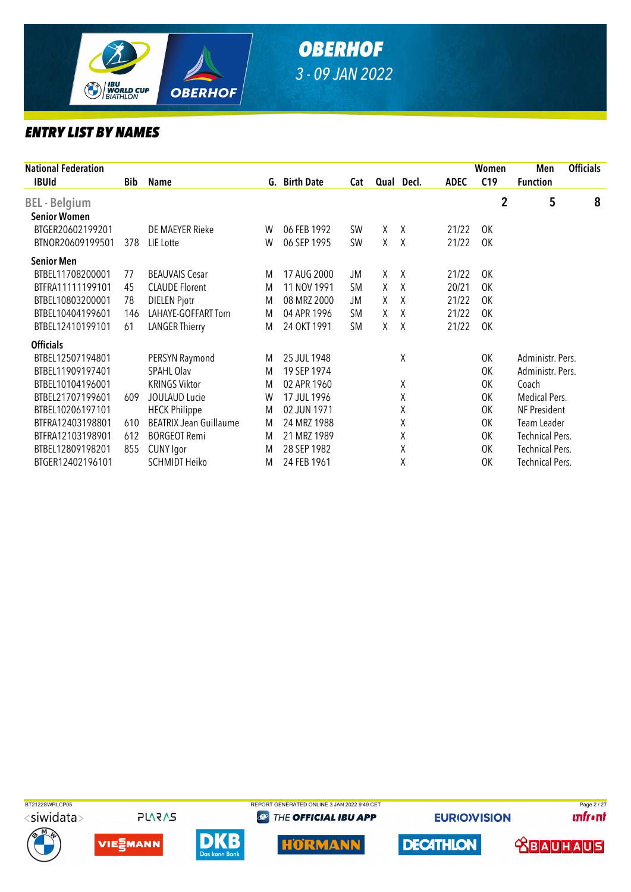

| <b>National Federation</b>                  |     |                               |        |                            |                        |        |                |                | Women            | Men                  | <b>Officials</b> |
|---------------------------------------------|-----|-------------------------------|--------|----------------------------|------------------------|--------|----------------|----------------|------------------|----------------------|------------------|
| <b>IBUId</b>                                | Bib | Name                          |        | G. Birth Date              | Cat                    |        | Qual Decl.     | <b>ADEC</b>    | C19              | <b>Function</b>      |                  |
| <b>BEL</b> - Belgium<br><b>Senior Women</b> |     |                               |        |                            |                        |        |                |                | $\boldsymbol{2}$ | 5                    | 8                |
| BTGER20602199201<br>BTNOR20609199501        | 378 | DE MAEYER Rieke<br>LIE Lotte  | W<br>W | 06 FEB 1992<br>06 SEP 1995 | <b>SW</b><br><b>SW</b> | X<br>X | $\lambda$<br>X | 21/22<br>21/22 | 0K<br>0K         |                      |                  |
| <b>Senior Men</b>                           |     |                               |        |                            |                        |        |                |                |                  |                      |                  |
| BTBEL11708200001                            | 77  | <b>BEAUVAIS Cesar</b>         | M      | 17 AUG 2000                | JM                     | X      | $\chi$         | 21/22          | 0K               |                      |                  |
| BTFRA11111199101                            | 45  | <b>CLAUDE Florent</b>         | M      | 11 NOV 1991                | <b>SM</b>              | X      | X              | 20/21          | 0K               |                      |                  |
| BTBEL10803200001                            | 78  | <b>DIELEN Pjotr</b>           | M      | 08 MRZ 2000                | JM                     | X      | $\mathsf{X}$   | 21/22          | OK               |                      |                  |
| BTBEL10404199601                            | 146 | LAHAYE-GOFFART Tom            | M      | 04 APR 1996                | <b>SM</b>              | X      | $\mathsf{X}$   | 21/22          | OK               |                      |                  |
| BTBEL12410199101                            | 61  | <b>LANGER Thierry</b>         | M      | 24 OKT 1991                | <b>SM</b>              | χ      | X              | 21/22          | 0K               |                      |                  |
| <b>Officials</b>                            |     |                               |        |                            |                        |        |                |                |                  |                      |                  |
| BTBEL12507194801                            |     | PERSYN Raymond                | M      | 25 JUL 1948                |                        |        | Χ              |                | 0K               | Administr. Pers.     |                  |
| BTBEL11909197401                            |     | <b>SPAHL Olav</b>             | M      | 19 SEP 1974                |                        |        |                |                | 0K               | Administr. Pers.     |                  |
| BTBEL10104196001                            |     | <b>KRINGS Viktor</b>          | M      | 02 APR 1960                |                        |        | χ              |                | 0K               | Coach                |                  |
| BTBEL21707199601                            | 609 | <b>JOULAUD Lucie</b>          | W      | 17 JUL 1996                |                        |        | χ              |                | 0K               | <b>Medical Pers.</b> |                  |
| BTBEL10206197101                            |     | <b>HECK Philippe</b>          | M      | 02 JUN 1971                |                        |        | χ              |                | 0K               | NF President         |                  |
| BTFRA12403198801                            | 610 | <b>BEATRIX Jean Guillaume</b> | M      | 24 MRZ 1988                |                        |        | Χ              |                | 0K               | Team Leader          |                  |
| BTFRA12103198901                            | 612 | <b>BORGEOT Remi</b>           | M      | 21 MRZ 1989                |                        |        | χ              |                | 0K               | Technical Pers.      |                  |
| BTBEL12809198201                            | 855 | <b>CUNY Igor</b>              | M      | 28 SEP 1982                |                        |        | χ              |                | 0K               | Technical Pers.      |                  |
| BTGER12402196101                            |     | <b>SCHMIDT Heiko</b>          | M      | 24 FEB 1961                |                        |        | X              |                | 0K               | Technical Pers.      |                  |











**@ THE OFFICIAL IBU APP** 



**EURIOVISION** 

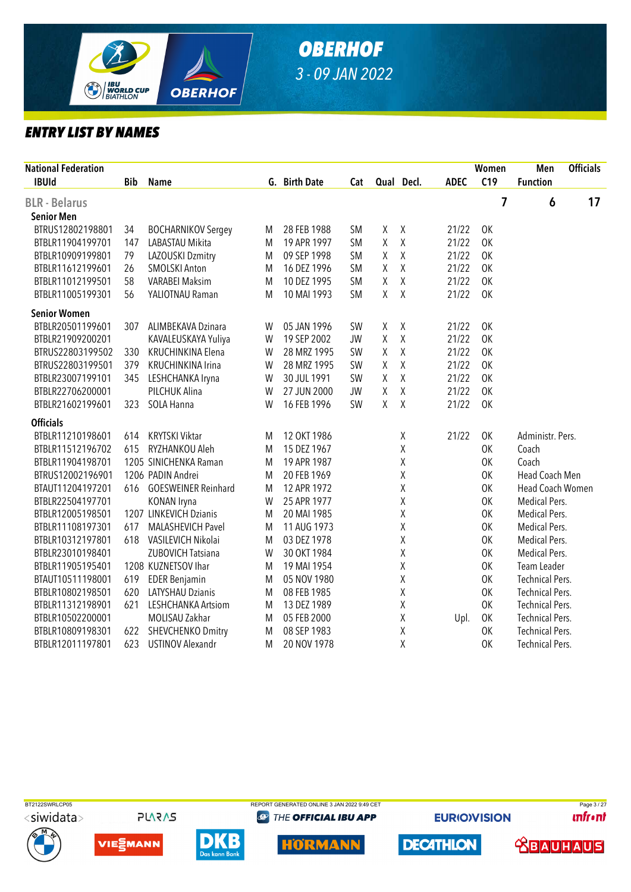

| <b>National Federation</b><br><b>IBUId</b> | <b>Bib</b> | <b>Name</b>                |   | G. Birth Date | Cat       |   | Qual Decl.  | <b>ADEC</b> | Women<br>C19 | Men<br><b>Function</b>  | <b>Officials</b> |
|--------------------------------------------|------------|----------------------------|---|---------------|-----------|---|-------------|-------------|--------------|-------------------------|------------------|
| <b>BLR</b> - Belarus                       |            |                            |   |               |           |   |             |             | 7            | 6                       | 17               |
| <b>Senior Men</b>                          |            |                            |   |               |           |   |             |             |              |                         |                  |
| BTRUS12802198801                           | 34         | <b>BOCHARNIKOV Sergey</b>  | M | 28 FEB 1988   | <b>SM</b> | χ | χ           | 21/22       | OK           |                         |                  |
| BTBLR11904199701                           | 147        | LABASTAU Mikita            | M | 19 APR 1997   | <b>SM</b> | Χ | Χ           | 21/22       | 0K           |                         |                  |
| BTBLR10909199801                           | 79         | LAZOUSKI Dzmitry           | M | 09 SEP 1998   | <b>SM</b> | Χ | Χ           | 21/22       | 0K           |                         |                  |
| BTBLR11612199601                           | 26         | <b>SMOLSKI Anton</b>       | M | 16 DEZ 1996   | <b>SM</b> | χ | χ           | 21/22       | <b>OK</b>    |                         |                  |
| BTBLR11012199501                           | 58         | <b>VARABEI Maksim</b>      | M | 10 DEZ 1995   | <b>SM</b> | Χ | Χ           | 21/22       | OK           |                         |                  |
| BTBLR11005199301                           | 56         | YALIOTNAU Raman            | M | 10 MAI 1993   | <b>SM</b> | χ | Χ           | 21/22       | OK           |                         |                  |
| <b>Senior Women</b>                        |            |                            |   |               |           |   |             |             |              |                         |                  |
| BTBLR20501199601                           | 307        | ALIMBEKAVA Dzinara         | W | 05 JAN 1996   | <b>SW</b> | χ | χ           | 21/22       | <b>OK</b>    |                         |                  |
| BTBLR21909200201                           |            | KAVALEUSKAYA Yuliya        | W | 19 SEP 2002   | <b>JW</b> | Χ | Χ           | 21/22       | 0K           |                         |                  |
| BTRUS22803199502                           | 330        | KRUCHINKINA Elena          | W | 28 MRZ 1995   | SW        | Χ | Χ           | 21/22       | 0K           |                         |                  |
| BTRUS22803199501                           | 379        | KRUCHINKINA Irina          | W | 28 MRZ 1995   | <b>SW</b> | Χ | X           | 21/22       | 0K           |                         |                  |
| BTBLR23007199101                           | 345        | LESHCHANKA Iryna           | W | 30 JUL 1991   | SW        | Χ | Χ           | 21/22       | 0K           |                         |                  |
| BTBLR22706200001                           |            | PILCHUK Alina              | W | 27 JUN 2000   | <b>JW</b> | Χ | Χ           | 21/22       | 0K           |                         |                  |
| BTBLR21602199601                           | 323        | SOLA Hanna                 | W | 16 FEB 1996   | SW        | Χ | Χ           | 21/22       | 0K           |                         |                  |
| <b>Officials</b>                           |            |                            |   |               |           |   |             |             |              |                         |                  |
| BTBLR11210198601                           | 614        | <b>KRYTSKI Viktar</b>      | M | 12 OKT 1986   |           |   | χ           | 21/22       | <b>OK</b>    | Administr. Pers.        |                  |
| BTBLR11512196702                           | 615        | RYZHANKOU Aleh             | M | 15 DEZ 1967   |           |   | Χ           |             | OK           | Coach                   |                  |
| BTBLR11904198701                           |            | 1205 SINICHENKA Raman      | M | 19 APR 1987   |           |   | Χ           |             | OK           | Coach                   |                  |
| BTRUS12002196901                           |            | 1206 PADIN Andrei          | M | 20 FEB 1969   |           |   | χ           |             | OK           | Head Coach Men          |                  |
| BTAUT11204197201                           | 616        | <b>GOESWEINER Reinhard</b> | M | 12 APR 1972   |           |   | Χ           |             | 0K           | <b>Head Coach Women</b> |                  |
| BTBLR22504197701                           |            | KONAN Iryna                | W | 25 APR 1977   |           |   | χ           |             | 0K           | Medical Pers.           |                  |
| BTBLR12005198501                           |            | 1207 LINKEVICH Dzianis     | M | 20 MAI 1985   |           |   | Χ           |             | OK           | Medical Pers.           |                  |
| BTBLR11108197301                           | 617        | <b>MALASHEVICH Pavel</b>   | M | 11 AUG 1973   |           |   | Χ           |             | OK           | <b>Medical Pers.</b>    |                  |
| BTBLR10312197801                           | 618        | VASILEVICH Nikolai         | M | 03 DEZ 1978   |           |   | Χ           |             | OK           | Medical Pers.           |                  |
| BTBLR23010198401                           |            | ZUBOVICH Tatsiana          | W | 30 OKT 1984   |           |   | Χ           |             | OK           | Medical Pers.           |                  |
| BTBLR11905195401                           |            | 1208 KUZNETSOV Ihar        | M | 19 MAI 1954   |           |   | χ           |             | OK           | Team Leader             |                  |
| BTAUT10511198001                           | 619        | <b>EDER Benjamin</b>       | M | 05 NOV 1980   |           |   | χ           |             | 0K           | <b>Technical Pers.</b>  |                  |
| BTBLR10802198501                           | 620        | LATYSHAU Dzianis           | M | 08 FEB 1985   |           |   | $\mathsf X$ |             | 0K           | <b>Technical Pers.</b>  |                  |
| BTBLR11312198901                           | 621        | LESHCHANKA Artsiom         | M | 13 DEZ 1989   |           |   | Χ           |             | 0K           | <b>Technical Pers.</b>  |                  |
| BTBLR10502200001                           |            | MOLISAU Zakhar             | M | 05 FEB 2000   |           |   | Χ           | Upl.        | 0K           | <b>Technical Pers.</b>  |                  |
| BTBLR10809198301                           | 622        | SHEVCHENKO Dmitry          | M | 08 SEP 1983   |           |   | Χ           |             | OK           | <b>Technical Pers.</b>  |                  |
| BTBLR12011197801                           | 623        | <b>USTINOV Alexandr</b>    | M | 20 NOV 1978   |           |   | χ           |             | 0K           | <b>Technical Pers.</b>  |                  |



<siwidata>



**PLARAS** 





**@ THE OFFICIAL IBU APP** 



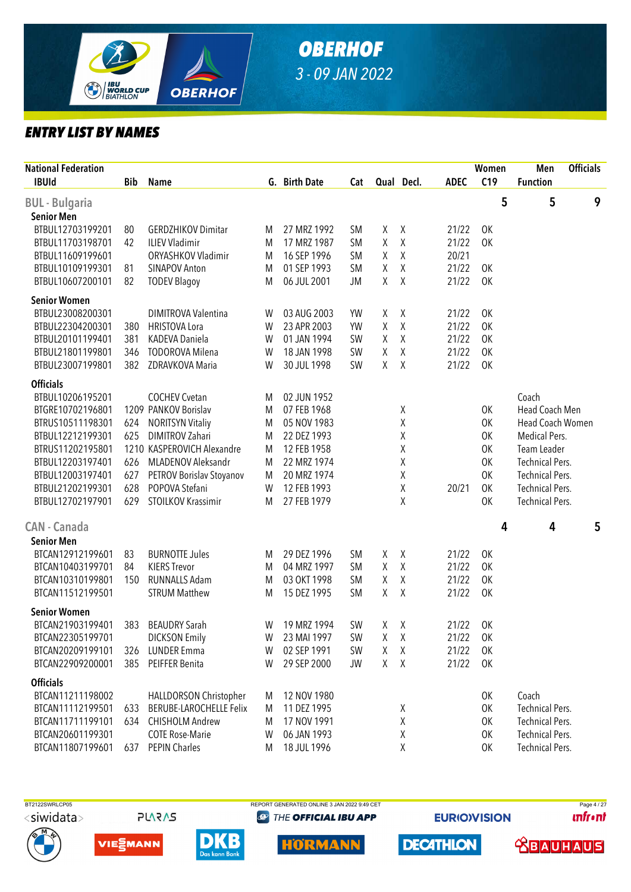

| <b>National Federation</b> |     |                                |   |               |           |        |            |             | Women     | Men                     | <b>Officials</b> |   |
|----------------------------|-----|--------------------------------|---|---------------|-----------|--------|------------|-------------|-----------|-------------------------|------------------|---|
| <b>IBUId</b>               | Bib | <b>Name</b>                    |   | G. Birth Date | Cat       |        | Qual Decl. | <b>ADEC</b> | C19       | <b>Function</b>         |                  |   |
| <b>BUL</b> - Bulgaria      |     |                                |   |               |           |        |            |             | 5         | 5                       |                  | 9 |
| <b>Senior Men</b>          |     |                                |   |               |           |        |            |             |           |                         |                  |   |
| BTBUL12703199201           | 80  | <b>GERDZHIKOV Dimitar</b>      | M | 27 MRZ 1992   | <b>SM</b> | χ      | $\chi$     | 21/22       | OK        |                         |                  |   |
| BTBUL11703198701           | 42  | <b>ILIEV Vladimir</b>          | M | 17 MRZ 1987   | <b>SM</b> | χ      | $\chi$     | 21/22       | 0K        |                         |                  |   |
| BTBUL11609199601           |     | ORYASHKOV Vladimir             | M | 16 SEP 1996   | <b>SM</b> | χ      | $\chi$     | 20/21       |           |                         |                  |   |
| BTBUL10109199301           | 81  | SINAPOV Anton                  | M | 01 SEP 1993   | <b>SM</b> | χ      | $\chi$     | 21/22       | <b>OK</b> |                         |                  |   |
| BTBUL10607200101           | 82  | <b>TODEV Blagoy</b>            | M | 06 JUL 2001   | JM        | $\chi$ | Χ          | 21/22       | <b>OK</b> |                         |                  |   |
| <b>Senior Women</b>        |     |                                |   |               |           |        |            |             |           |                         |                  |   |
| BTBUL23008200301           |     | <b>DIMITROVA Valentina</b>     | W | 03 AUG 2003   | YW        | X      | $\chi$     | 21/22       | OK        |                         |                  |   |
| BTBUL22304200301           | 380 | <b>HRISTOVA Lora</b>           | W | 23 APR 2003   | <b>YW</b> | χ      | $\chi$     | 21/22       | 0K        |                         |                  |   |
| BTBUL20101199401           | 381 | <b>KADEVA Daniela</b>          | W | 01 JAN 1994   | SW        | χ      | $\chi$     | 21/22       | 0K        |                         |                  |   |
| BTBUL21801199801           | 346 | <b>TODOROVA Milena</b>         | W | 18 JAN 1998   | SW        | χ      | $\chi$     | 21/22       | 0K        |                         |                  |   |
| BTBUL23007199801           | 382 | ZDRAVKOVA Maria                | W | 30 JUL 1998   | <b>SW</b> | $\chi$ | $\chi$     | 21/22       | OK        |                         |                  |   |
| <b>Officials</b>           |     |                                |   |               |           |        |            |             |           |                         |                  |   |
| BTBUL10206195201           |     | <b>COCHEV Cvetan</b>           | M | 02 JUN 1952   |           |        |            |             |           | Coach                   |                  |   |
| BTGRE10702196801           |     | 1209 PANKOV Borislav           | M | 07 FEB 1968   |           |        | χ          |             | 0K        | Head Coach Men          |                  |   |
| BTRUS10511198301           | 624 | <b>NORITSYN Vitaliy</b>        | M | 05 NOV 1983   |           |        | χ          |             | 0K        | <b>Head Coach Women</b> |                  |   |
| BTBUL12212199301           | 625 | <b>DIMITROV Zahari</b>         | M | 22 DEZ 1993   |           |        | χ          |             | 0K        | Medical Pers.           |                  |   |
| BTRUS11202195801           |     | 1210 KASPEROVICH Alexandre     | M | 12 FEB 1958   |           |        | χ          |             | 0K        | Team Leader             |                  |   |
| BTBUL12203197401           | 626 | MLADENOV Aleksandr             | M | 22 MRZ 1974   |           |        | Χ          |             | OK        | <b>Technical Pers.</b>  |                  |   |
| BTBUL12003197401           | 627 | PETROV Borislav Stoyanov       | M | 20 MRZ 1974   |           |        | Χ          |             | OK        | <b>Technical Pers.</b>  |                  |   |
| BTBUL21202199301           | 628 | POPOVA Stefani                 | W | 12 FEB 1993   |           |        | χ          | 20/21       | OK        | <b>Technical Pers.</b>  |                  |   |
| BTBUL12702197901           | 629 | STOILKOV Krassimir             | M | 27 FEB 1979   |           |        | Χ          |             | 0K        | <b>Technical Pers.</b>  |                  |   |
| <b>CAN - Canada</b>        |     |                                |   |               |           |        |            |             | 4         | 4                       |                  | 5 |
| <b>Senior Men</b>          |     |                                |   |               |           |        |            |             |           |                         |                  |   |
| BTCAN12912199601           | 83  | <b>BURNOTTE Jules</b>          | M | 29 DEZ 1996   | <b>SM</b> | χ      | Χ          | 21/22       | OK        |                         |                  |   |
| BTCAN10403199701           | 84  | <b>KIERS Trevor</b>            | M | 04 MRZ 1997   | <b>SM</b> | χ      | $\chi$     | 21/22       | OK        |                         |                  |   |
| BTCAN10310199801           | 150 | <b>RUNNALLS Adam</b>           | M | 03 OKT 1998   | <b>SM</b> | χ      | $\chi$     | 21/22       | OK        |                         |                  |   |
| BTCAN11512199501           |     | <b>STRUM Matthew</b>           | M | 15 DEZ 1995   | <b>SM</b> | $\chi$ | Χ          | 21/22       | OK        |                         |                  |   |
| <b>Senior Women</b>        |     |                                |   |               |           |        |            |             |           |                         |                  |   |
| BTCAN21903199401           | 383 | <b>BEAUDRY Sarah</b>           | W | 19 MRZ 1994   | <b>SW</b> | X      | X          | 21/22       | 0K        |                         |                  |   |
| BTCAN22305199701           |     | <b>DICKSON Emily</b>           | W | 23 MAI 1997   | SW        | X      | $\sf X$    | 21/22       | OK        |                         |                  |   |
| BTCAN20209199101           | 326 | <b>LUNDER Emma</b>             | W | 02 SEP 1991   | <b>SW</b> | χ      | Χ          | 21/22       | OK        |                         |                  |   |
| BTCAN22909200001           | 385 | PEIFFER Benita                 | W | 29 SEP 2000   | <b>JW</b> | χ      | $\chi$     | 21/22       | 0K        |                         |                  |   |
| <b>Officials</b>           |     |                                |   |               |           |        |            |             |           |                         |                  |   |
| BTCAN11211198002           |     | HALLDORSON Christopher         | M | 12 NOV 1980   |           |        |            |             | OK        | Coach                   |                  |   |
| BTCAN11112199501           | 633 | <b>BERUBE-LAROCHELLE Felix</b> | M | 11 DEZ 1995   |           |        | Χ          |             | 0K        | <b>Technical Pers.</b>  |                  |   |
| BTCAN11711199101           | 634 | <b>CHISHOLM Andrew</b>         | M | 17 NOV 1991   |           |        | χ          |             | 0K        | <b>Technical Pers.</b>  |                  |   |
| BTCAN20601199301           |     | <b>COTE Rose-Marie</b>         | W | 06 JAN 1993   |           |        | χ          |             | 0K        | <b>Technical Pers.</b>  |                  |   |
| BTCAN11807199601           | 637 | <b>PEPIN Charles</b>           | M | 18 JUL 1996   |           |        | χ          |             | 0K        | <b>Technical Pers.</b>  |                  |   |











**EURIOVISION DECATHLON** 



**TRAUHAUS**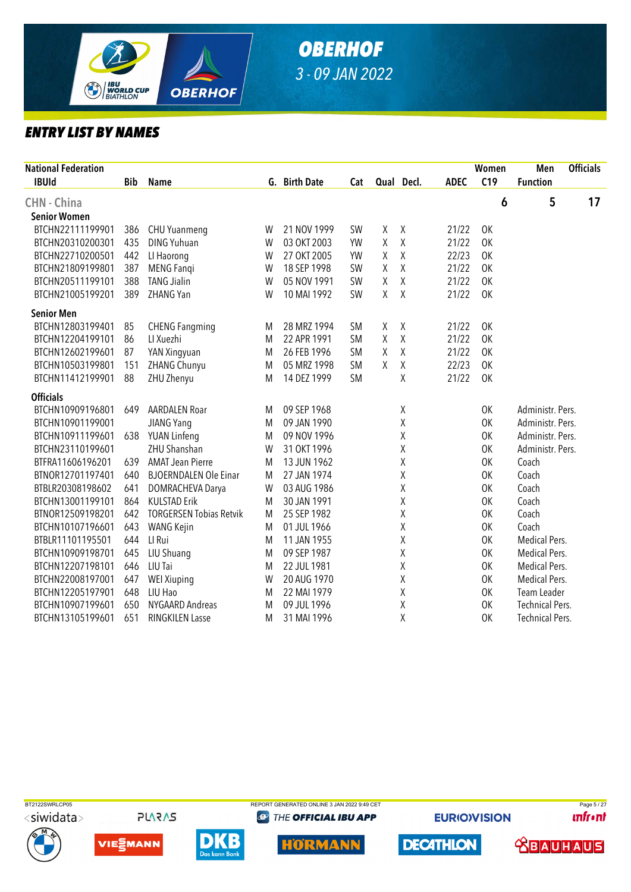

| <b>National Federation</b> |            |                                |   |               |           |        |             |             | Women | Men                    | <b>Officials</b> |
|----------------------------|------------|--------------------------------|---|---------------|-----------|--------|-------------|-------------|-------|------------------------|------------------|
| <b>IBUId</b>               | <b>Bib</b> | Name                           |   | G. Birth Date | Cat       |        | Qual Decl.  | <b>ADEC</b> | C19   | <b>Function</b>        |                  |
| <b>CHN - China</b>         |            |                                |   |               |           |        |             |             | 6     | 5                      | 17               |
| <b>Senior Women</b>        |            |                                |   |               |           |        |             |             |       |                        |                  |
| BTCHN22111199901           | 386        | <b>CHU Yuanmeng</b>            | W | 21 NOV 1999   | SW        | χ      | $\chi$      | 21/22       | OK    |                        |                  |
| BTCHN20310200301           | 435        | <b>DING Yuhuan</b>             | W | 03 OKT 2003   | YW        | Χ      | Χ           | 21/22       | 0K    |                        |                  |
| BTCHN22710200501           | 442        | LI Haorong                     | W | 27 OKT 2005   | <b>YW</b> | χ      | $\mathsf X$ | 22/23       | 0K    |                        |                  |
| BTCHN21809199801           | 387        | <b>MENG Fangi</b>              | W | 18 SEP 1998   | <b>SW</b> | X      | $\sf X$     | 21/22       | 0K    |                        |                  |
| BTCHN20511199101           | 388        | <b>TANG Jialin</b>             | W | 05 NOV 1991   | SW        | Χ      | $\chi$      | 21/22       | 0K    |                        |                  |
| BTCHN21005199201           | 389        | ZHANG Yan                      | W | 10 MAI 1992   | <b>SW</b> | χ      | $\chi$      | 21/22       | 0K    |                        |                  |
| <b>Senior Men</b>          |            |                                |   |               |           |        |             |             |       |                        |                  |
| BTCHN12803199401           | 85         | <b>CHENG Fangming</b>          | M | 28 MRZ 1994   | <b>SM</b> | $\chi$ | $\chi$      | 21/22       | OK    |                        |                  |
| BTCHN12204199101           | 86         | LI Xuezhi                      | M | 22 APR 1991   | <b>SM</b> | χ      | Χ           | 21/22       | 0K    |                        |                  |
| BTCHN12602199601           | 87         | YAN Xingyuan                   | M | 26 FEB 1996   | <b>SM</b> | Χ      | χ           | 21/22       | OK    |                        |                  |
| BTCHN10503199801           | 151        | ZHANG Chunyu                   | M | 05 MRZ 1998   | <b>SM</b> | χ      | Χ           | 22/23       | 0K    |                        |                  |
| BTCHN11412199901           | 88         | ZHU Zhenyu                     | M | 14 DEZ 1999   | <b>SM</b> |        | X           | 21/22       | 0K    |                        |                  |
| <b>Officials</b>           |            |                                |   |               |           |        |             |             |       |                        |                  |
| BTCHN10909196801           | 649        | <b>AARDALEN Roar</b>           | M | 09 SEP 1968   |           |        | χ           |             | 0K    | Administr. Pers.       |                  |
| BTCHN10901199001           |            | <b>JIANG Yang</b>              | M | 09 JAN 1990   |           |        | Χ           |             | 0K    | Administr. Pers.       |                  |
| BTCHN10911199601           | 638        | YUAN Linfeng                   | M | 09 NOV 1996   |           |        | χ           |             | 0K    | Administr. Pers.       |                  |
| BTCHN23110199601           |            | <b>ZHU Shanshan</b>            | W | 31 OKT 1996   |           |        | Χ           |             | 0K    | Administr. Pers.       |                  |
| BTFRA11606196201           | 639        | <b>AMAT Jean Pierre</b>        | M | 13 JUN 1962   |           |        | χ           |             | 0K    | Coach                  |                  |
| BTNOR12701197401           | 640        | <b>BJOERNDALEN Ole Einar</b>   | M | 27 JAN 1974   |           |        | Χ           |             | 0K    | Coach                  |                  |
| BTBLR20308198602           | 641        | DOMRACHEVA Darya               | W | 03 AUG 1986   |           |        | χ           |             | 0K    | Coach                  |                  |
| BTCHN13001199101           | 864        | <b>KULSTAD Erik</b>            | M | 30 JAN 1991   |           |        | χ           |             | 0K    | Coach                  |                  |
| BTNOR12509198201           | 642        | <b>TORGERSEN Tobias Retvik</b> | M | 25 SEP 1982   |           |        | χ           |             | 0K    | Coach                  |                  |
| BTCHN10107196601           | 643        | WANG Kejin                     | M | 01 JUL 1966   |           |        | χ           |             | 0K    | Coach                  |                  |
| BTBLR11101195501           | 644        | LI Rui                         | M | 11 JAN 1955   |           |        | χ           |             | 0K    | Medical Pers.          |                  |
| BTCHN10909198701           | 645        | LIU Shuang                     | M | 09 SEP 1987   |           |        | Χ           |             | 0K    | <b>Medical Pers.</b>   |                  |
| BTCHN12207198101           | 646        | LIU Tai                        | M | 22 JUL 1981   |           |        | χ           |             | 0K    | Medical Pers.          |                  |
| BTCHN22008197001           | 647        | <b>WEI Xiuping</b>             | W | 20 AUG 1970   |           |        | χ           |             | 0K    | Medical Pers.          |                  |
| BTCHN12205197901           | 648        | LIU Hao                        | M | 22 MAI 1979   |           |        | Χ           |             | 0K    | Team Leader            |                  |
| BTCHN10907199601           | 650        | NYGAARD Andreas                | M | 09 JUL 1996   |           |        | χ           |             | 0K    | <b>Technical Pers.</b> |                  |
| BTCHN13105199601           | 651        | <b>RINGKILEN Lasse</b>         | M | 31 MAI 1996   |           |        | X           |             | 0K    | <b>Technical Pers.</b> |                  |



**PLARAS** 









**@** THE OFFICIAL IBU APP



**EURIOVISION** 

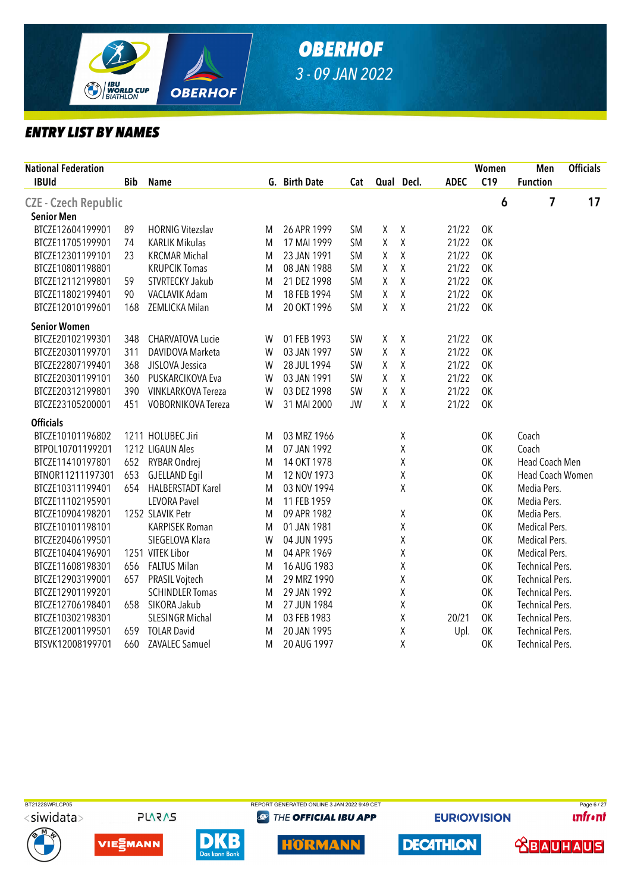

| <b>National Federation</b><br><b>IBUId</b> | <b>Bib</b> | <b>Name</b>               |   | G. Birth Date | Cat       |   | Qual Decl.         | <b>ADEC</b> | Women<br>C19 | Men<br><b>Function</b> | <b>Officials</b> |
|--------------------------------------------|------------|---------------------------|---|---------------|-----------|---|--------------------|-------------|--------------|------------------------|------------------|
| CZE - Czech Republic                       |            |                           |   |               |           |   |                    |             | 6            | 7                      | 17               |
| <b>Senior Men</b>                          |            |                           |   |               |           |   |                    |             |              |                        |                  |
| BTCZE12604199901                           | 89         | <b>HORNIG Vitezslav</b>   | M | 26 APR 1999   | <b>SM</b> | χ | $\sf X$            | 21/22       | 0K           |                        |                  |
| BTCZE11705199901                           | 74         | <b>KARLIK Mikulas</b>     | M | 17 MAI 1999   | <b>SM</b> | Χ | $\mathsf X$        | 21/22       | 0K           |                        |                  |
| BTCZE12301199101                           | 23         | <b>KRCMAR Michal</b>      | M | 23 JAN 1991   | <b>SM</b> | χ | Χ                  | 21/22       | 0K           |                        |                  |
| BTCZE10801198801                           |            | <b>KRUPCIK Tomas</b>      | M | 08 JAN 1988   | <b>SM</b> | Χ | $\mathsf X$        | 21/22       | 0K           |                        |                  |
| BTCZE12112199801                           | 59         | STVRTECKY Jakub           | M | 21 DEZ 1998   | <b>SM</b> | Χ | $\mathsf X$        | 21/22       | OK           |                        |                  |
| BTCZE11802199401                           | 90         | VACLAVIK Adam             | M | 18 FEB 1994   | <b>SM</b> | Χ | $\mathsf{X}% _{0}$ | 21/22       | 0K           |                        |                  |
| BTCZE12010199601                           | 168        | ZEMLICKA Milan            | M | 20 OKT 1996   | <b>SM</b> | χ | $\chi$             | 21/22       | OK           |                        |                  |
| <b>Senior Women</b>                        |            |                           |   |               |           |   |                    |             |              |                        |                  |
| BTCZE20102199301                           | 348        | CHARVATOVA Lucie          | W | 01 FEB 1993   | <b>SW</b> | Χ | $\chi$             | 21/22       | OK           |                        |                  |
| BTCZE20301199701                           | 311        | DAVIDOVA Marketa          | W | 03 JAN 1997   | SW        | χ | $\mathsf X$        | 21/22       | <b>OK</b>    |                        |                  |
| BTCZE22807199401                           | 368        | JISLOVA Jessica           | W | 28 JUL 1994   | <b>SW</b> | Χ | $\mathsf X$        | 21/22       | 0K           |                        |                  |
| BTCZE20301199101                           | 360        | PUSKARCIKOVA Eva          | W | 03 JAN 1991   | <b>SW</b> | Χ | $\mathsf{X}% _{0}$ | 21/22       | <b>OK</b>    |                        |                  |
| BTCZE20312199801                           | 390        | <b>VINKLARKOVA Tereza</b> | W | 03 DEZ 1998   | <b>SW</b> | Χ | $\mathsf{X}$       | 21/22       | 0K           |                        |                  |
| BTCZE23105200001                           | 451        | VOBORNIKOVA Tereza        | W | 31 MAI 2000   | <b>JW</b> | Χ | χ                  | 21/22       | 0K           |                        |                  |
| <b>Officials</b>                           |            |                           |   |               |           |   |                    |             |              |                        |                  |
| BTCZE10101196802                           |            | 1211 HOLUBEC Jiri         | M | 03 MRZ 1966   |           |   | Χ                  |             | OK           | Coach                  |                  |
| BTPOL10701199201                           |            | 1212 LIGAUN Ales          | M | 07 JAN 1992   |           |   | χ                  |             | 0K           | Coach                  |                  |
| BTCZE11410197801                           | 652        | RYBAR Ondrej              | M | 14 OKT 1978   |           |   | Χ                  |             | 0K           | Head Coach Men         |                  |
| BTNOR11211197301                           | 653        | <b>GJELLAND Eqil</b>      | M | 12 NOV 1973   |           |   | Χ                  |             | 0K           | Head Coach Women       |                  |
| BTCZE10311199401                           | 654        | <b>HALBERSTADT Karel</b>  | M | 03 NOV 1994   |           |   | Χ                  |             | OK           | Media Pers.            |                  |
| BTCZE11102195901                           |            | <b>LEVORA Pavel</b>       | M | 11 FEB 1959   |           |   |                    |             | 0K           | Media Pers.            |                  |
| BTCZE10904198201                           |            | 1252 SLAVIK Petr          | M | 09 APR 1982   |           |   | χ                  |             | OK           | Media Pers.            |                  |
| BTCZE10101198101                           |            | <b>KARPISEK Roman</b>     | M | 01 JAN 1981   |           |   | $\chi$             |             | OK           | Medical Pers.          |                  |
| BTCZE20406199501                           |            | SIEGELOVA Klara           | W | 04 JUN 1995   |           |   | Χ                  |             | 0K           | Medical Pers.          |                  |
| BTCZE10404196901                           |            | 1251 VITEK Libor          | M | 04 APR 1969   |           |   | Χ                  |             | 0K           | Medical Pers.          |                  |
| BTCZE11608198301                           | 656        | <b>FALTUS Milan</b>       | M | 16 AUG 1983   |           |   | Χ                  |             | OK           | <b>Technical Pers.</b> |                  |
| BTCZE12903199001                           | 657        | PRASIL Vojtech            | M | 29 MRZ 1990   |           |   | χ                  |             | 0K           | <b>Technical Pers.</b> |                  |
| BTCZE12901199201                           |            | <b>SCHINDLER Tomas</b>    | M | 29 JAN 1992   |           |   | χ                  |             | 0K           | <b>Technical Pers.</b> |                  |
| BTCZE12706198401                           | 658        | SIKORA Jakub              | M | 27 JUN 1984   |           |   | Χ                  |             | 0K           | <b>Technical Pers.</b> |                  |
| BTCZE10302198301                           |            | <b>SLESINGR Michal</b>    | M | 03 FEB 1983   |           |   | Χ                  | 20/21       | 0K           | <b>Technical Pers.</b> |                  |
| BTCZE12001199501                           | 659        | <b>TOLAR David</b>        | M | 20 JAN 1995   |           |   | Χ                  | Upl.        | 0K           | <b>Technical Pers.</b> |                  |
| BTSVK12008199701                           | 660        | <b>ZAVALEC Samuel</b>     | M | 20 AUG 1997   |           |   | Χ                  |             | 0K           | <b>Technical Pers.</b> |                  |







**PLARAS** 





**@ THE OFFICIAL IBU APP** 



**EURIOVISION** 

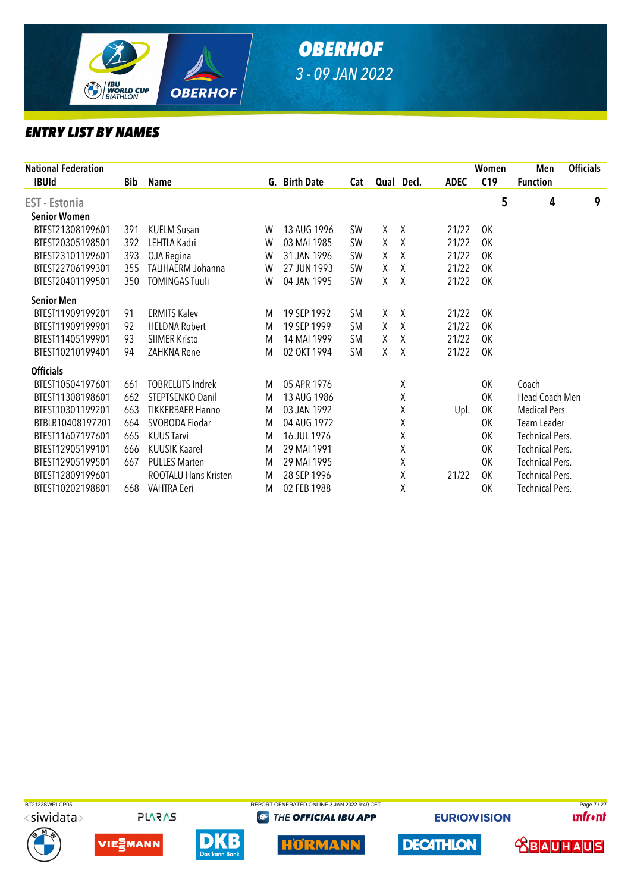

|            |                             |   |             |               |   |   |                                                                                                       |           | Men                    | <b>Officials</b> |
|------------|-----------------------------|---|-------------|---------------|---|---|-------------------------------------------------------------------------------------------------------|-----------|------------------------|------------------|
| <b>Bib</b> | Name                        |   |             | Cat           |   |   | <b>ADEC</b>                                                                                           | C19       | <b>Function</b>        |                  |
|            |                             |   |             |               |   |   |                                                                                                       | 5         | 4                      | 9                |
|            |                             |   |             |               |   |   |                                                                                                       |           |                        |                  |
| 391        | <b>KUELM Susan</b>          | W | 13 AUG 1996 | <b>SW</b>     | χ |   | 21/22                                                                                                 | 0K        |                        |                  |
| 392        | LEHTLA Kadri                | W | 03 MAI 1985 | <b>SW</b>     | X |   | 21/22                                                                                                 | 0K        |                        |                  |
| 393        | OJA Regina                  | W | 31 JAN 1996 | <b>SW</b>     | X |   | 21/22                                                                                                 | 0K        |                        |                  |
| 355        | TALIHAERM Johanna           | W | 27 JUN 1993 | <b>SW</b>     | χ |   | 21/22                                                                                                 | OK        |                        |                  |
| 350        | <b>TOMINGAS Tuuli</b>       | W | 04 JAN 1995 | <b>SW</b>     | χ |   | 21/22                                                                                                 | OK        |                        |                  |
|            |                             |   |             |               |   |   |                                                                                                       |           |                        |                  |
| 91         | <b>ERMITS Kalev</b>         | M | 19 SEP 1992 | <b>SM</b>     | Χ |   | 21/22                                                                                                 | 0K        |                        |                  |
| 92         | <b>HELDNA Robert</b>        | M | 19 SEP 1999 | <b>SM</b>     | X | Χ | 21/22                                                                                                 | OK        |                        |                  |
| 93         | <b>SIIMER Kristo</b>        | M | 14 MAI 1999 | <b>SM</b>     | X | Χ | 21/22                                                                                                 | 0K        |                        |                  |
| 94         | ZAHKNA Rene                 | M | 02 OKT 1994 | <b>SM</b>     | X |   | 21/22                                                                                                 | <b>OK</b> |                        |                  |
|            |                             |   |             |               |   |   |                                                                                                       |           |                        |                  |
| 661        | <b>TOBRELUTS Indrek</b>     | M | 05 APR 1976 |               |   | χ |                                                                                                       | 0K        | Coach                  |                  |
| 662        | STEPTSENKO Danil            | M | 13 AUG 1986 |               |   | Χ |                                                                                                       | 0K        | Head Coach Men         |                  |
| 663        | <b>TIKKERBAER Hanno</b>     | M | 03 JAN 1992 |               |   | χ | Upl.                                                                                                  | 0K        | Medical Pers.          |                  |
| 664        | SVOBODA Fiodar              | M | 04 AUG 1972 |               |   | Χ |                                                                                                       | 0K        | Team Leader            |                  |
| 665        | <b>KUUS Tarvi</b>           | M | 16 JUL 1976 |               |   | χ |                                                                                                       | OK        | <b>Technical Pers.</b> |                  |
| 666        | <b>KUUSIK Kaarel</b>        | M | 29 MAI 1991 |               |   | χ |                                                                                                       | 0K        | <b>Technical Pers.</b> |                  |
| 667        | <b>PULLES Marten</b>        | M | 29 MAI 1995 |               |   | χ |                                                                                                       | 0K        | <b>Technical Pers.</b> |                  |
|            | <b>ROOTALU Hans Kristen</b> | M | 28 SEP 1996 |               |   | Χ | 21/22                                                                                                 | OK        | <b>Technical Pers.</b> |                  |
| 668        | <b>VAHTRA Eeri</b>          | M | 02 FEB 1988 |               |   | χ |                                                                                                       | 0K        | <b>Technical Pers.</b> |                  |
|            |                             |   |             | G. Birth Date |   |   | Qual Decl.<br>$\lambda$<br>$\chi$<br>$\mathsf{X}$<br>$\chi$<br>$\lambda$<br>$\lambda$<br>$\mathsf{X}$ |           | Women                  |                  |



**PLARAS** 







**@ THE OFFICIAL IBU APP** 



**EURIOVISION** 

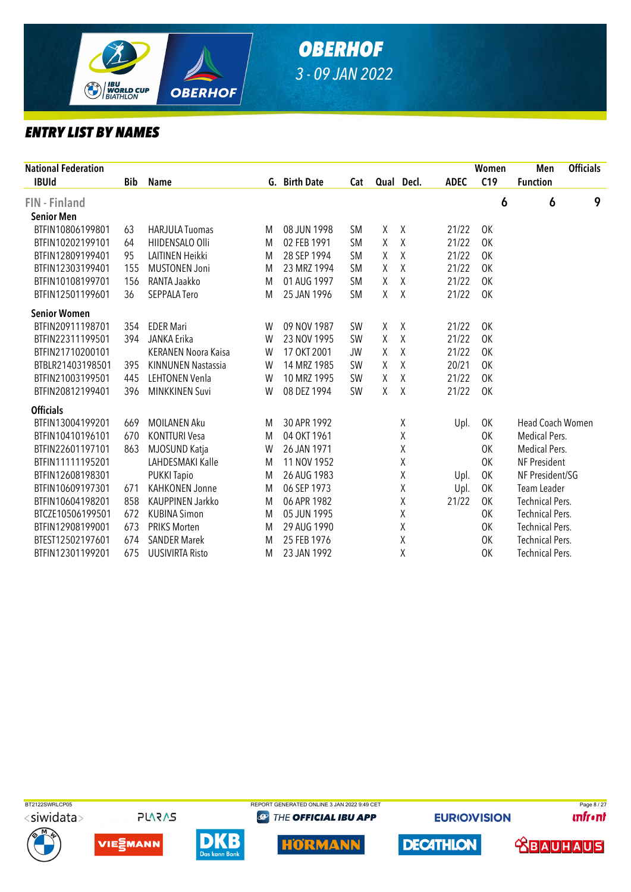

| <b>National Federation</b> |            |                            |   |               |           |        |              |             | Women     | Men                    | <b>Officials</b> |
|----------------------------|------------|----------------------------|---|---------------|-----------|--------|--------------|-------------|-----------|------------------------|------------------|
| <b>IBUId</b>               | <b>Bib</b> | <b>Name</b>                |   | G. Birth Date | Cat       |        | Qual Decl.   | <b>ADEC</b> | C19       | <b>Function</b>        |                  |
| <b>FIN</b> - Finland       |            |                            |   |               |           |        |              |             | 6         | 6                      | 9                |
| <b>Senior Men</b>          |            |                            |   |               |           |        |              |             |           |                        |                  |
| BTFIN10806199801           | 63         | <b>HARJULA Tuomas</b>      | M | 08 JUN 1998   | <b>SM</b> | χ      | χ            | 21/22       | 0K        |                        |                  |
| BTFIN10202199101           | 64         | HIIDENSALO Olli            | M | 02 FEB 1991   | <b>SM</b> | X      | $\mathsf{X}$ | 21/22       | <b>OK</b> |                        |                  |
| BTFIN12809199401           | 95         | LAITINEN Heikki            | M | 28 SEP 1994   | <b>SM</b> | X      | χ            | 21/22       | 0K        |                        |                  |
| BTFIN12303199401           | 155        | <b>MUSTONEN Joni</b>       | M | 23 MRZ 1994   | <b>SM</b> | χ      | $\chi$       | 21/22       | 0K        |                        |                  |
| BTFIN10108199701           | 156        | RANTA Jaakko               | M | 01 AUG 1997   | <b>SM</b> | X      | χ            | 21/22       | 0K        |                        |                  |
| BTFIN12501199601           | 36         | <b>SEPPALA Tero</b>        | M | 25 JAN 1996   | <b>SM</b> | X      | Χ            | 21/22       | OK        |                        |                  |
| <b>Senior Women</b>        |            |                            |   |               |           |        |              |             |           |                        |                  |
| BTFIN20911198701           | 354        | <b>EDER Mari</b>           | W | 09 NOV 1987   | <b>SW</b> | $\chi$ | $\chi$       | 21/22       | OK        |                        |                  |
| BTFIN22311199501           | 394        | JANKA Erika                | W | 23 NOV 1995   | <b>SW</b> | X      | $\sf X$      | 21/22       | <b>OK</b> |                        |                  |
| BTFIN21710200101           |            | <b>KERANEN Noora Kaisa</b> | W | 17 OKT 2001   | <b>JW</b> | X      | X            | 21/22       | 0K        |                        |                  |
| BTBLR21403198501           | 395        | <b>KINNUNEN Nastassia</b>  | W | 14 MRZ 1985   | <b>SW</b> | X      | $\sf X$      | 20/21       | 0K        |                        |                  |
| BTFIN21003199501           | 445        | <b>LEHTONEN Venla</b>      | W | 10 MRZ 1995   | <b>SW</b> | X      | χ            | 21/22       | 0K        |                        |                  |
| BTFIN20812199401           | 396        | <b>MINKKINEN Suvi</b>      | W | 08 DEZ 1994   | SW        | X      | X            | 21/22       | <b>OK</b> |                        |                  |
| <b>Officials</b>           |            |                            |   |               |           |        |              |             |           |                        |                  |
| BTFIN13004199201           | 669        | <b>MOILANEN Aku</b>        | M | 30 APR 1992   |           |        | χ            | Upl.        | OK        | Head Coach Women       |                  |
| BTFIN10410196101           | 670        | <b>KONTTURI Vesa</b>       | M | 04 OKT 1961   |           |        | χ            |             | 0K        | <b>Medical Pers.</b>   |                  |
| BTFIN22601197101           | 863        | MJOSUND Katja              | W | 26 JAN 1971   |           |        | Χ            |             | 0K        | Medical Pers.          |                  |
| BTFIN11111195201           |            | LAHDESMAKI Kalle           | M | 11 NOV 1952   |           |        | χ            |             | 0K        | NF President           |                  |
| BTFIN12608198301           |            | <b>PUKKI Tapio</b>         | M | 26 AUG 1983   |           |        | χ            | Upl.        | 0K        | NF President/SG        |                  |
| BTFIN10609197301           | 671        | <b>KAHKONEN Jonne</b>      | M | 06 SEP 1973   |           |        | χ            | Upl.        | 0K        | Team Leader            |                  |
| BTFIN10604198201           | 858        | KAUPPINEN Jarkko           | M | 06 APR 1982   |           |        | χ            | 21/22       | OK        | <b>Technical Pers.</b> |                  |
| BTCZE10506199501           | 672        | <b>KUBINA Simon</b>        | M | 05 JUN 1995   |           |        | χ            |             | 0K        | <b>Technical Pers.</b> |                  |
| BTFIN12908199001           | 673        | <b>PRIKS Morten</b>        | M | 29 AUG 1990   |           |        | χ            |             | 0K        | <b>Technical Pers.</b> |                  |
| BTEST12502197601           | 674        | <b>SANDER Marek</b>        | M | 25 FEB 1976   |           |        | χ            |             | <b>OK</b> | <b>Technical Pers.</b> |                  |
| BTFIN12301199201           | 675        | <b>UUSIVIRTA Risto</b>     | M | 23 JAN 1992   |           |        | χ            |             | 0K        | <b>Technical Pers.</b> |                  |



**PLARAS** 







**@ THE OFFICIAL IBU APP** 



**EURIOVISION** 



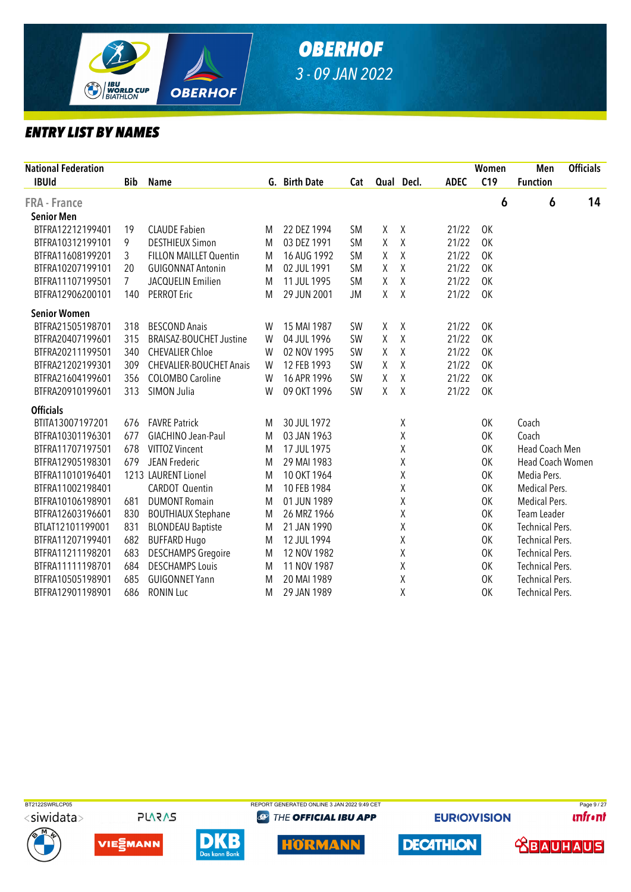

| <b>National Federation</b><br><b>IBUId</b> | <b>Bib</b> | <b>Name</b>                    |   | G. Birth Date | Cat       |   | Qual Decl.   | <b>ADEC</b> | Women<br>C19 | Men<br><b>Function</b> | <b>Officials</b> |
|--------------------------------------------|------------|--------------------------------|---|---------------|-----------|---|--------------|-------------|--------------|------------------------|------------------|
| FRA - France                               |            |                                |   |               |           |   |              |             | 6            | 6                      | 14               |
| <b>Senior Men</b>                          |            |                                |   |               |           |   |              |             |              |                        |                  |
| BTFRA12212199401                           | 19         | <b>CLAUDE Fabien</b>           | M | 22 DEZ 1994   | <b>SM</b> | X | $\chi$       | 21/22       | 0K           |                        |                  |
| BTFRA10312199101                           | 9          | <b>DESTHIEUX Simon</b>         | M | 03 DEZ 1991   | <b>SM</b> | Χ | $\chi$       | 21/22       | 0K           |                        |                  |
| BTFRA11608199201                           | 3          | <b>FILLON MAILLET Quentin</b>  | M | 16 AUG 1992   | <b>SM</b> | Χ | $\chi$       | 21/22       | 0K           |                        |                  |
| BTFRA10207199101                           | 20         | <b>GUIGONNAT Antonin</b>       | M | 02 JUL 1991   | <b>SM</b> | χ | $\chi$       | 21/22       | 0K           |                        |                  |
| BTFRA11107199501                           | 7          | JACQUELIN Emilien              | M | 11 JUL 1995   | <b>SM</b> | Χ | $\pmb{\chi}$ | 21/22       | 0K           |                        |                  |
| BTFRA12906200101                           | 140        | <b>PERROT Eric</b>             | M | 29 JUN 2001   | <b>JM</b> | Χ | χ            | 21/22       | 0K           |                        |                  |
| <b>Senior Women</b>                        |            |                                |   |               |           |   |              |             |              |                        |                  |
| BTFRA21505198701                           | 318        | <b>BESCOND Anais</b>           | W | 15 MAI 1987   | SW        | X | $\chi$       | 21/22       | OK           |                        |                  |
| BTFRA20407199601                           | 315        | <b>BRAISAZ-BOUCHET Justine</b> | W | 04 JUL 1996   | SW        | Χ | $\chi$       | 21/22       | <b>OK</b>    |                        |                  |
| BTFRA20211199501                           | 340        | <b>CHEVALIER Chloe</b>         | W | 02 NOV 1995   | SW        | Χ | $\sf X$      | 21/22       | 0K           |                        |                  |
| BTFRA21202199301                           | 309        | <b>CHEVALIER-BOUCHET Anais</b> | W | 12 FEB 1993   | SW        | Χ | χ            | 21/22       | 0K           |                        |                  |
| BTFRA21604199601                           | 356        | <b>COLOMBO Caroline</b>        | W | 16 APR 1996   | SW        | χ | $\chi$       | 21/22       | 0K           |                        |                  |
| BTFRA20910199601                           | 313        | SIMON Julia                    | W | 09 OKT 1996   | SW        | X | $\chi$       | 21/22       | OK           |                        |                  |
| <b>Officials</b>                           |            |                                |   |               |           |   |              |             |              |                        |                  |
| BTITA13007197201                           | 676        | <b>FAVRE Patrick</b>           | M | 30 JUL 1972   |           |   | Χ            |             | 0K           | Coach                  |                  |
| BTFRA10301196301                           | 677        | GIACHINO Jean-Paul             | M | 03 JAN 1963   |           |   | χ            |             | OK           | Coach                  |                  |
| BTFRA11707197501                           | 678        | VITTOZ Vincent                 | M | 17 JUL 1975   |           |   | χ            |             | 0K           | Head Coach Men         |                  |
| BTFRA12905198301                           | 679        | JEAN Frederic                  | M | 29 MAI 1983   |           |   | χ            |             | 0K           | Head Coach Women       |                  |
| BTFRA11010196401                           |            | 1213 LAURENT Lionel            | M | 10 OKT 1964   |           |   | Χ            |             | 0K           | Media Pers.            |                  |
| BTFRA11002198401                           |            | <b>CARDOT Quentin</b>          | M | 10 FEB 1984   |           |   | χ            |             | 0K           | Medical Pers.          |                  |
| BTFRA10106198901                           | 681        | <b>DUMONT Romain</b>           | M | 01 JUN 1989   |           |   | χ            |             | OK           | <b>Medical Pers.</b>   |                  |
| BTFRA12603196601                           | 830        | <b>BOUTHIAUX Stephane</b>      | M | 26 MRZ 1966   |           |   | χ            |             | OK           | Team Leader            |                  |
| BTLAT12101199001                           | 831        | <b>BLONDEAU Baptiste</b>       | M | 21 JAN 1990   |           |   | χ            |             | 0K           | <b>Technical Pers.</b> |                  |
| BTFRA11207199401                           | 682        | <b>BUFFARD Hugo</b>            | M | 12 JUL 1994   |           |   | χ            |             | 0K           | <b>Technical Pers.</b> |                  |
| BTFRA11211198201                           | 683        | <b>DESCHAMPS Gregoire</b>      | M | 12 NOV 1982   |           |   | Χ            |             | 0K           | <b>Technical Pers.</b> |                  |
| BTFRA11111198701                           | 684        | <b>DESCHAMPS Louis</b>         | M | 11 NOV 1987   |           |   | χ            |             | 0K           | <b>Technical Pers.</b> |                  |
| BTFRA10505198901                           | 685        | <b>GUIGONNET Yann</b>          | M | 20 MAI 1989   |           |   | χ            |             | 0K           | <b>Technical Pers.</b> |                  |
| BTFRA12901198901                           | 686        | <b>RONIN Luc</b>               | M | 29 JAN 1989   |           |   | χ            |             | 0K           | <b>Technical Pers.</b> |                  |



**PLARAS** 







**@ THE OFFICIAL IBU APP** 



**EURIOVISION** 

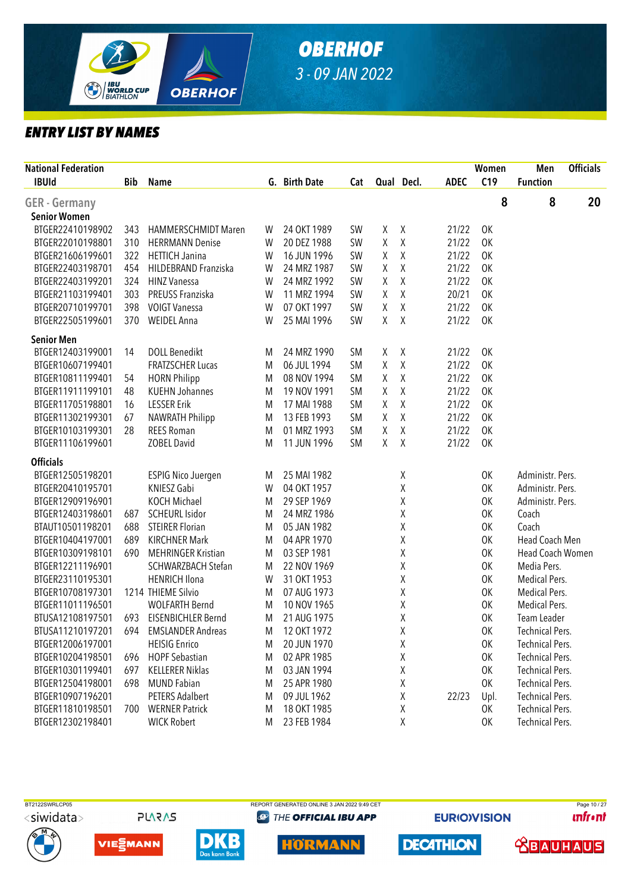

| <b>National Federation</b><br><b>IBUId</b> | <b>Bib</b> | <b>Name</b>                |   | G. Birth Date | Cat       |   | Qual Decl. | <b>ADEC</b> | Women<br>C19 | Men<br><b>Function</b> | <b>Officials</b> |
|--------------------------------------------|------------|----------------------------|---|---------------|-----------|---|------------|-------------|--------------|------------------------|------------------|
|                                            |            |                            |   |               |           |   |            |             |              |                        |                  |
| <b>GER</b> - Germany                       |            |                            |   |               |           |   |            |             | 8            | 8                      | 20               |
| <b>Senior Women</b>                        |            |                            |   |               |           |   |            |             |              |                        |                  |
| BTGER22410198902                           | 343        | <b>HAMMERSCHMIDT Maren</b> | W | 24 OKT 1989   | <b>SW</b> | χ | X          | 21/22       | OK           |                        |                  |
| BTGER22010198801                           | 310        | <b>HERRMANN Denise</b>     | W | 20 DEZ 1988   | SW        | Χ | $\chi$     | 21/22       | 0K           |                        |                  |
| BTGER21606199601                           | 322        | <b>HETTICH Janina</b>      | W | 16 JUN 1996   | SW        | Χ | Χ          | 21/22       | 0K           |                        |                  |
| BTGER22403198701                           | 454        | HILDEBRAND Franziska       | W | 24 MRZ 1987   | SW        | Χ | Χ          | 21/22       | 0K           |                        |                  |
| BTGER22403199201                           | 324        | <b>HINZ Vanessa</b>        | W | 24 MRZ 1992   | SW        | Χ | Χ          | 21/22       | 0K           |                        |                  |
| BTGER21103199401                           | 303        | PREUSS Franziska           | W | 11 MRZ 1994   | SW        | Χ | $\chi$     | 20/21       | 0K           |                        |                  |
| BTGER20710199701                           | 398        | <b>VOIGT Vanessa</b>       | W | 07 OKT 1997   | SW        | Χ | $\chi$     | 21/22       | <b>OK</b>    |                        |                  |
| BTGER22505199601                           | 370        | <b>WEIDEL Anna</b>         | W | 25 MAI 1996   | SW        | χ | X          | 21/22       | OK           |                        |                  |
| <b>Senior Men</b>                          |            |                            |   |               |           |   |            |             |              |                        |                  |
| BTGER12403199001                           | 14         | <b>DOLL Benedikt</b>       | M | 24 MRZ 1990   | <b>SM</b> | χ | $\chi$     | 21/22       | OK           |                        |                  |
| BTGER10607199401                           |            | <b>FRATZSCHER Lucas</b>    | M | 06 JUL 1994   | <b>SM</b> | χ | $\sf X$    | 21/22       | OK           |                        |                  |
| BTGER10811199401                           | 54         | <b>HORN Philipp</b>        | M | 08 NOV 1994   | <b>SM</b> | χ | χ          | 21/22       | OK           |                        |                  |
| BTGER11911199101                           | 48         | <b>KUEHN Johannes</b>      | M | 19 NOV 1991   | <b>SM</b> | Χ | Χ          | 21/22       | 0K           |                        |                  |
| BTGER11705198801                           | 16         | <b>LESSER Erik</b>         | M | 17 MAI 1988   | <b>SM</b> | χ | Χ          | 21/22       | 0K           |                        |                  |
| BTGER11302199301                           | 67         | <b>NAWRATH Philipp</b>     | M | 13 FEB 1993   | <b>SM</b> | Χ | χ          | 21/22       | 0K           |                        |                  |
| BTGER10103199301                           | 28         | <b>REES Roman</b>          | M | 01 MRZ 1993   | <b>SM</b> | Χ | Χ          | 21/22       | OK           |                        |                  |
| BTGER11106199601                           |            | <b>ZOBEL David</b>         | M | 11 JUN 1996   | <b>SM</b> | χ | $\chi$     | 21/22       | OK           |                        |                  |
| <b>Officials</b>                           |            |                            |   |               |           |   |            |             |              |                        |                  |
| BTGER12505198201                           |            | <b>ESPIG Nico Juergen</b>  | M | 25 MAI 1982   |           |   | χ          |             | 0K           | Administr. Pers.       |                  |
| BTGER20410195701                           |            | KNIESZ Gabi                | W | 04 OKT 1957   |           |   | Χ          |             | OK           | Administr. Pers.       |                  |
| BTGER12909196901                           |            | <b>KOCH Michael</b>        | M | 29 SEP 1969   |           |   | Χ          |             | OK           | Administr. Pers.       |                  |
| BTGER12403198601                           | 687        | <b>SCHEURL Isidor</b>      | M | 24 MRZ 1986   |           |   | χ          |             | OK           | Coach                  |                  |
| BTAUT10501198201                           | 688        | <b>STEIRER Florian</b>     | M | 05 JAN 1982   |           |   | χ          |             | OK           | Coach                  |                  |
| BTGER10404197001                           | 689        | <b>KIRCHNER Mark</b>       | M | 04 APR 1970   |           |   | Χ          |             | 0K           | Head Coach Men         |                  |
| BTGER10309198101                           | 690        | <b>MEHRINGER Kristian</b>  | M | 03 SEP 1981   |           |   | Χ          |             | OK           | Head Coach Women       |                  |
| BTGER12211196901                           |            | SCHWARZBACH Stefan         | M | 22 NOV 1969   |           |   | Χ          |             | OK           | Media Pers.            |                  |
| BTGER23110195301                           |            | <b>HENRICH Ilona</b>       | W | 31 OKT 1953   |           |   | χ          |             | OK           | Medical Pers.          |                  |
| BTGER10708197301                           |            | 1214 THIEME Silvio         | M | 07 AUG 1973   |           |   | Χ          |             | OK           | Medical Pers.          |                  |
| BTGER11011196501                           |            | <b>WOLFARTH Bernd</b>      | M | 10 NOV 1965   |           |   | Χ          |             | OK           | Medical Pers.          |                  |
| BTUSA12108197501                           | 693        | EISENBICHLER Bernd         | M | 21 AUG 1975   |           |   | Χ          |             | OK           | Team Leader            |                  |
| BTUSA11210197201                           | 694        | <b>EMSLANDER Andreas</b>   | M | 12 OKT 1972   |           |   | Χ          |             | OK           | Technical Pers.        |                  |
| BTGER12006197001                           |            | <b>HEISIG Enrico</b>       | M | 20 JUN 1970   |           |   | Χ          |             | 0K           | <b>Technical Pers.</b> |                  |
| BTGER10204198501                           | 696        | <b>HOPF Sebastian</b>      | M | 02 APR 1985   |           |   | Χ          |             | OK           | <b>Technical Pers.</b> |                  |
| BTGER10301199401                           | 697        | <b>KELLERER Niklas</b>     | M | 03 JAN 1994   |           |   | Χ          |             | OK           | <b>Technical Pers.</b> |                  |
| BTGER12504198001                           | 698        | <b>MUND Fabian</b>         | M | 25 APR 1980   |           |   | χ          |             | OK           | <b>Technical Pers.</b> |                  |
| BTGER10907196201                           |            | <b>PETERS Adalbert</b>     | M | 09 JUL 1962   |           |   | χ          | 22/23       | Upl.         | <b>Technical Pers.</b> |                  |
| BTGER11810198501                           | 700        | <b>WERNER Patrick</b>      | M | 18 OKT 1985   |           |   | χ          |             | 0K           | <b>Technical Pers.</b> |                  |
| BTGER12302198401                           |            | <b>WICK Robert</b>         | M | 23 FEB 1984   |           |   | χ          |             | 0K           | <b>Technical Pers.</b> |                  |
|                                            |            |                            |   |               |           |   |            |             |              |                        |                  |



**PLARAS** 







**@ THE OFFICIAL IBU APP** 

**EURIOVISION** 

**DECATHLON** 

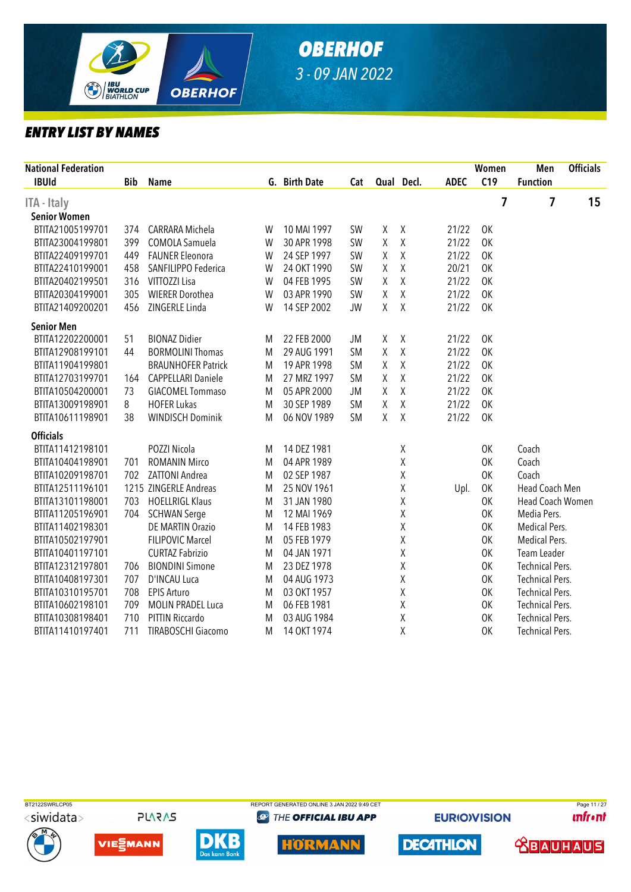

| National Federation<br><b>IBUId</b> | <b>Bib</b> | <b>Name</b>               |   | G. Birth Date | Cat       |             | Qual Decl.  | <b>ADEC</b> | Women<br>C19 | Men<br><b>Function</b> | <b>Officials</b> |
|-------------------------------------|------------|---------------------------|---|---------------|-----------|-------------|-------------|-------------|--------------|------------------------|------------------|
|                                     |            |                           |   |               |           |             |             |             |              |                        |                  |
| ITA - Italy                         |            |                           |   |               |           |             |             |             | 7            | 7                      | 15               |
| <b>Senior Women</b>                 |            |                           |   |               |           |             |             |             |              |                        |                  |
| BTITA21005199701                    | 374        | <b>CARRARA Michela</b>    | W | 10 MAI 1997   | SW        | χ           | χ           | 21/22       | OK           |                        |                  |
| BTITA23004199801                    | 399        | COMOLA Samuela            | W | 30 APR 1998   | SW        | Χ           | $\sf X$     | 21/22       | 0K           |                        |                  |
| BTITA22409199701                    | 449        | <b>FAUNER Eleonora</b>    | W | 24 SEP 1997   | SW        | χ           | $\sf X$     | 21/22       | 0K           |                        |                  |
| BTITA22410199001                    | 458        | SANFILIPPO Federica       | W | 24 OKT 1990   | SW        | Χ           | $\mathsf X$ | 20/21       | 0K           |                        |                  |
| BTITA20402199501                    | 316        | VITTOZZI Lisa             | W | 04 FEB 1995   | SW        | Χ           | $\sf X$     | 21/22       | 0K           |                        |                  |
| BTITA20304199001                    | 305        | <b>WIERER Dorothea</b>    | W | 03 APR 1990   | SW        | Χ           | $\mathsf X$ | 21/22       | 0K           |                        |                  |
| BTITA21409200201                    | 456        | ZINGERLE Linda            | W | 14 SEP 2002   | <b>JW</b> | Χ           | X           | 21/22       | OK           |                        |                  |
| <b>Senior Men</b>                   |            |                           |   |               |           |             |             |             |              |                        |                  |
| BTITA12202200001                    | 51         | <b>BIONAZ Didier</b>      | M | 22 FEB 2000   | JM        | χ           | Χ           | 21/22       | OK           |                        |                  |
| BTITA12908199101                    | 44         | <b>BORMOLINI Thomas</b>   | M | 29 AUG 1991   | <b>SM</b> | Χ           | $\mathsf X$ | 21/22       | 0K           |                        |                  |
| BTITA11904199801                    |            | <b>BRAUNHOFER Patrick</b> | M | 19 APR 1998   | <b>SM</b> | χ           | $\sf X$     | 21/22       | 0K           |                        |                  |
| BTITA12703199701                    | 164        | <b>CAPPELLARI Daniele</b> | M | 27 MRZ 1997   | <b>SM</b> | $\mathsf X$ | $\mathsf X$ | 21/22       | 0K           |                        |                  |
| BTITA10504200001                    | 73         | <b>GIACOMEL Tommaso</b>   | M | 05 APR 2000   | JM        | χ           | $\sf X$     | 21/22       | 0K           |                        |                  |
| BTITA13009198901                    | 8          | <b>HOFER Lukas</b>        | M | 30 SEP 1989   | <b>SM</b> | $\mathsf X$ | $\mathsf X$ | 21/22       | <b>OK</b>    |                        |                  |
| BTITA10611198901                    | 38         | <b>WINDISCH Dominik</b>   | M | 06 NOV 1989   | <b>SM</b> | Χ           | $\sf X$     | 21/22       | OK           |                        |                  |
| <b>Officials</b>                    |            |                           |   |               |           |             |             |             |              |                        |                  |
| BTITA11412198101                    |            | POZZI Nicola              | M | 14 DEZ 1981   |           |             | χ           |             | <b>OK</b>    | Coach                  |                  |
| BTITA10404198901                    | 701        | <b>ROMANIN Mirco</b>      | M | 04 APR 1989   |           |             | χ           |             | 0K           | Coach                  |                  |
| BTITA10209198701                    | 702        | <b>ZATTONI Andrea</b>     | M | 02 SEP 1987   |           |             | Χ           |             | 0K           | Coach                  |                  |
| BTITA12511196101                    |            | 1215 ZINGERLE Andreas     | M | 25 NOV 1961   |           |             | Χ           | Upl.        | 0K           | Head Coach Men         |                  |
| BTITA13101198001                    | 703        | <b>HOELLRIGL Klaus</b>    | M | 31 JAN 1980   |           |             | Χ           |             | 0K           | Head Coach Women       |                  |
| BTITA11205196901                    | 704        | <b>SCHWAN Serge</b>       | M | 12 MAI 1969   |           |             | Χ           |             | 0K           | Media Pers.            |                  |
| BTITA11402198301                    |            | <b>DE MARTIN Orazio</b>   | M | 14 FEB 1983   |           |             | Χ           |             | 0K           | Medical Pers.          |                  |
| BTITA10502197901                    |            | <b>FILIPOVIC Marcel</b>   | M | 05 FEB 1979   |           |             | χ           |             | 0K           | Medical Pers.          |                  |
| BTITA10401197101                    |            | <b>CURTAZ Fabrizio</b>    | M | 04 JAN 1971   |           |             | Χ           |             | 0K           | Team Leader            |                  |
| BTITA12312197801                    | 706        | <b>BIONDINI Simone</b>    | M | 23 DEZ 1978   |           |             | Χ           |             | 0K           | <b>Technical Pers.</b> |                  |
| BTITA10408197301                    | 707        | D'INCAU Luca              | M | 04 AUG 1973   |           |             | Χ           |             | 0K           | <b>Technical Pers.</b> |                  |
| BTITA10310195701                    | 708        | <b>EPIS Arturo</b>        | M | 03 OKT 1957   |           |             | Χ           |             | 0K           | <b>Technical Pers.</b> |                  |
| BTITA10602198101                    | 709        | <b>MOLIN PRADEL Luca</b>  | M | 06 FEB 1981   |           |             | Χ           |             | 0K           | <b>Technical Pers.</b> |                  |
| BTITA10308198401                    | 710        | PITTIN Riccardo           | M | 03 AUG 1984   |           |             | $\sf X$     |             | 0K           | <b>Technical Pers.</b> |                  |
| BTITA11410197401                    | 711        | <b>TIRABOSCHI Giacomo</b> | M | 14 OKT 1974   |           |             | Χ           |             | 0K           | <b>Technical Pers.</b> |                  |
|                                     |            |                           |   |               |           |             |             |             |              |                        |                  |



**PLARAS** 











**EURIOVISION** 

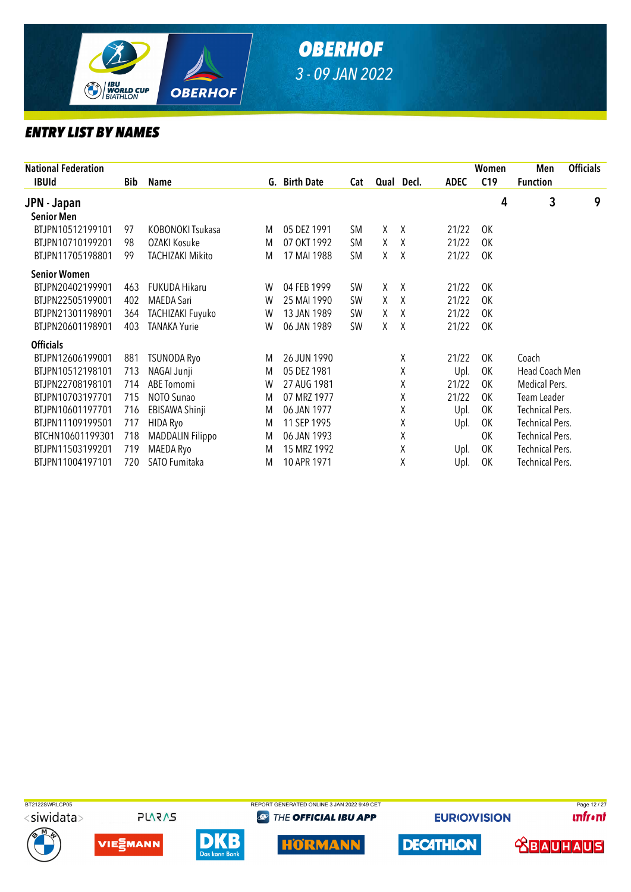

| <b>National Federation</b> |     |                         |   |               |           |    |            |             | Women           | Men                    | <b>Officials</b> |
|----------------------------|-----|-------------------------|---|---------------|-----------|----|------------|-------------|-----------------|------------------------|------------------|
| <b>IBUId</b>               | Bib | Name                    |   | G. Birth Date | Cat       |    | Qual Decl. | <b>ADEC</b> | C <sub>19</sub> | <b>Function</b>        |                  |
| JPN - Japan                |     |                         |   |               |           |    |            |             | 4               | 3                      | 9                |
| <b>Senior Men</b>          |     |                         |   |               |           |    |            |             |                 |                        |                  |
| BTJPN10512199101           | 97  | KOBONOKI Tsukasa        | M | 05 DEZ 1991   | <b>SM</b> | X  | Χ          | 21/22       | 0K              |                        |                  |
| BTJPN10710199201           | 98  | OZAKI Kosuke            | M | 07 OKT 1992   | <b>SM</b> | X  | X          | 21/22       | 0K              |                        |                  |
| BTJPN11705198801           | 99  | TACHIZAKI Mikito        | M | 17 MAI 1988   | <b>SM</b> | X. | X          | 21/22       | 0K              |                        |                  |
| <b>Senior Women</b>        |     |                         |   |               |           |    |            |             |                 |                        |                  |
| BTJPN20402199901           | 463 | <b>FUKUDA Hikaru</b>    | W | 04 FEB 1999   | <b>SW</b> | X  | X          | 21/22       | 0K              |                        |                  |
| BTJPN22505199001           | 402 | <b>MAEDA Sari</b>       | W | 25 MAI 1990   | <b>SW</b> | X  | X          | 21/22       | <b>OK</b>       |                        |                  |
| BTJPN21301198901           | 364 | TACHIZAKI Fuyuko        | W | 13 JAN 1989   | <b>SW</b> | Χ  | X          | 21/22       | <b>OK</b>       |                        |                  |
| BTJPN20601198901           | 403 | <b>TANAKA Yurie</b>     | W | 06 JAN 1989   | <b>SW</b> | χ  | X          | 21/22       | <b>OK</b>       |                        |                  |
| <b>Officials</b>           |     |                         |   |               |           |    |            |             |                 |                        |                  |
| BTJPN12606199001           | 881 | <b>TSUNODA Ryo</b>      | M | 26 JUN 1990   |           |    | χ          | 21/22       | 0K              | Coach                  |                  |
| BTJPN10512198101           | 713 | NAGAI Junji             | M | 05 DEZ 1981   |           |    | Χ          | Upl.        | 0K              | Head Coach Men         |                  |
| BTJPN22708198101           | 714 | ABE Tomomi              | W | 27 AUG 1981   |           |    | Χ          | 21/22       | 0K              | Medical Pers.          |                  |
| BTJPN10703197701           | 715 | NOTO Sunao              | M | 07 MRZ 1977   |           |    | Χ          | 21/22       | 0K              | Team Leader            |                  |
| BTJPN10601197701           | 716 | EBISAWA Shinji          | M | 06 JAN 1977   |           |    | Χ          | Upl.        | 0K              | <b>Technical Pers.</b> |                  |
| BTJPN11109199501           | 717 | HIDA Ryo                | M | 11 SEP 1995   |           |    | Χ          | Upl.        | 0K              | <b>Technical Pers.</b> |                  |
| BTCHN10601199301           | 718 | <b>MADDALIN Filippo</b> | M | 06 JAN 1993   |           |    | Χ          |             | OK              | <b>Technical Pers.</b> |                  |
| BTJPN11503199201           | 719 | MAEDA Ryo               | M | 15 MRZ 1992   |           |    | Χ          | Upl.        | 0K              | Technical Pers.        |                  |
| BTJPN11004197101           | 720 | SATO Fumitaka           | M | 10 APR 1971   |           |    | Χ          | Upl.        | 0K              | <b>Technical Pers.</b> |                  |
|                            |     |                         |   |               |           |    |            |             |                 |                        |                  |













**@ THE OFFICIAL IBU APP** 



**EURIOVISION** 

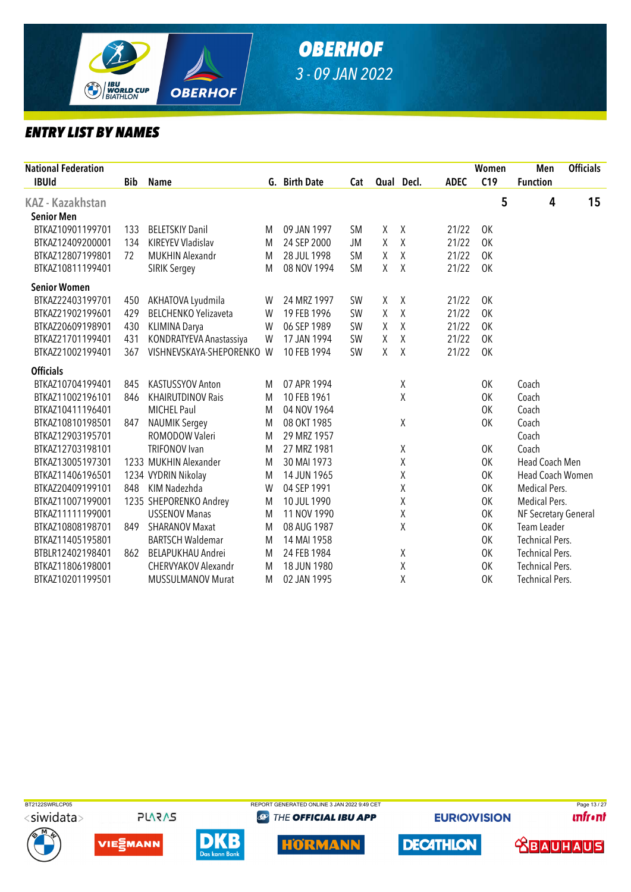

| <b>National Federation</b> |     |                             |   |               |           |   |            |             | Women     | Men                    | <b>Officials</b> |
|----------------------------|-----|-----------------------------|---|---------------|-----------|---|------------|-------------|-----------|------------------------|------------------|
| <b>IBUId</b>               | Bib | <b>Name</b>                 |   | G. Birth Date | Cat       |   | Qual Decl. | <b>ADEC</b> | C19       | <b>Function</b>        |                  |
| KAZ - Kazakhstan           |     |                             |   |               |           |   |            |             | 5         | 4                      | 15               |
| <b>Senior Men</b>          |     |                             |   |               |           |   |            |             |           |                        |                  |
| BTKAZ10901199701           | 133 | <b>BELETSKIY Danil</b>      | M | 09 JAN 1997   | <b>SM</b> | χ | χ          | 21/22       | <b>OK</b> |                        |                  |
| BTKAZ12409200001           | 134 | KIREYEV Vladislav           | M | 24 SEP 2000   | <b>JM</b> | Χ | $\sf X$    | 21/22       | 0K        |                        |                  |
| BTKAZ12807199801           | 72  | <b>MUKHIN Alexandr</b>      | M | 28 JUL 1998   | <b>SM</b> | Χ | χ          | 21/22       | <b>OK</b> |                        |                  |
| BTKAZ10811199401           |     | <b>SIRIK Sergey</b>         | M | 08 NOV 1994   | <b>SM</b> | Χ | X          | 21/22       | <b>OK</b> |                        |                  |
| <b>Senior Women</b>        |     |                             |   |               |           |   |            |             |           |                        |                  |
| BTKAZ22403199701           | 450 | AKHATOVA Lyudmila           | W | 24 MRZ 1997   | <b>SW</b> | χ | $\chi$     | 21/22       | <b>OK</b> |                        |                  |
| BTKAZ21902199601           | 429 | <b>BELCHENKO Yelizaveta</b> | W | 19 FEB 1996   | SW        | Χ | Χ          | 21/22       | <b>OK</b> |                        |                  |
| BTKAZ20609198901           | 430 | <b>KLIMINA Darya</b>        | W | 06 SEP 1989   | <b>SW</b> | χ | Χ          | 21/22       | <b>OK</b> |                        |                  |
| BTKAZ21701199401           | 431 | KONDRATYEVA Anastassiya     | W | 17 JAN 1994   | <b>SW</b> | Χ | $\sf X$    | 21/22       | <b>OK</b> |                        |                  |
| BTKAZ21002199401           | 367 | VISHNEVSKAYA-SHEPORENKO W   |   | 10 FEB 1994   | SW        | χ | Χ          | 21/22       | <b>OK</b> |                        |                  |
| <b>Officials</b>           |     |                             |   |               |           |   |            |             |           |                        |                  |
| BTKAZ10704199401           | 845 | KASTUSSYOV Anton            | M | 07 APR 1994   |           |   | Χ          |             | 0K        | Coach                  |                  |
| BTKAZ11002196101           | 846 | <b>KHAIRUTDINOV Rais</b>    | M | 10 FEB 1961   |           |   | X          |             | OK        | Coach                  |                  |
| BTKAZ10411196401           |     | <b>MICHEL Paul</b>          | M | 04 NOV 1964   |           |   |            |             | OK        | Coach                  |                  |
| BTKAZ10810198501           | 847 | <b>NAUMIK Sergey</b>        | M | 08 OKT 1985   |           |   | Χ          |             | 0K        | Coach                  |                  |
| BTKAZ12903195701           |     | ROMODOW Valeri              | M | 29 MRZ 1957   |           |   |            |             |           | Coach                  |                  |
| BTKAZ12703198101           |     | <b>TRIFONOV</b> Ivan        | M | 27 MRZ 1981   |           |   | χ          |             | 0K        | Coach                  |                  |
| BTKAZ13005197301           |     | 1233 MUKHIN Alexander       | M | 30 MAI 1973   |           |   | χ          |             | OK        | Head Coach Men         |                  |
| BTKAZ11406196501           |     | 1234 VYDRIN Nikolay         | M | 14 JUN 1965   |           |   | Χ          |             | OK        | Head Coach Women       |                  |
| BTKAZ20409199101           | 848 | KIM Nadezhda                | W | 04 SEP 1991   |           |   | χ          |             | OK        | Medical Pers.          |                  |
| BTKAZ11007199001           |     | 1235 SHEPORENKO Andrey      | M | 10 JUL 1990   |           |   | χ          |             | OK        | Medical Pers.          |                  |
| BTKAZ11111199001           |     | <b>USSENOV Manas</b>        | M | 11 NOV 1990   |           |   | χ          |             | <b>OK</b> | NF Secretary General   |                  |
| BTKAZ10808198701           | 849 | <b>SHARANOV Maxat</b>       | M | 08 AUG 1987   |           |   | Χ          |             | 0K        | Team Leader            |                  |
| BTKAZ11405195801           |     | <b>BARTSCH Waldemar</b>     | M | 14 MAI 1958   |           |   |            |             | OK        | <b>Technical Pers.</b> |                  |
| BTBLR12402198401           | 862 | BELAPUKHAU Andrei           | M | 24 FEB 1984   |           |   | χ          |             | OK        | <b>Technical Pers.</b> |                  |
| BTKAZ11806198001           |     | <b>CHERVYAKOV Alexandr</b>  | M | 18 JUN 1980   |           |   | Χ          |             | OK        | <b>Technical Pers.</b> |                  |
| BTKAZ10201199501           |     | <b>MUSSULMANOV Murat</b>    | M | 02 JAN 1995   |           |   | Χ          |             | <b>OK</b> | <b>Technical Pers.</b> |                  |



**PLARAS** 







**DECATHLON** 

**EURIOVISION** 

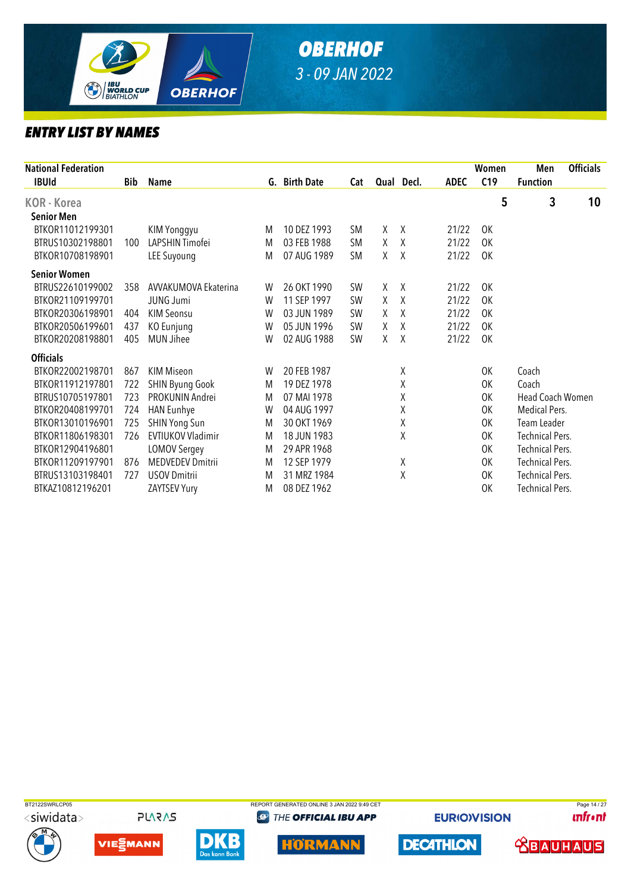

| <b>National Federation</b> |            |                          |   |               |           |        |            |             | Women     | Men                    | <b>Officials</b> |
|----------------------------|------------|--------------------------|---|---------------|-----------|--------|------------|-------------|-----------|------------------------|------------------|
| <b>IBUId</b>               | <b>Bib</b> | Name                     |   | G. Birth Date | Cat       |        | Qual Decl. | <b>ADEC</b> | C19       | <b>Function</b>        |                  |
| <b>KOR</b> - Korea         |            |                          |   |               |           |        |            |             | 5         | 3                      | 10               |
| <b>Senior Men</b>          |            |                          |   |               |           |        |            |             |           |                        |                  |
| BTKOR11012199301           |            | KIM Yonggyu              | M | 10 DEZ 1993   | <b>SM</b> | χ      | Χ          | 21/22       | 0K        |                        |                  |
| BTRUS10302198801           | 100        | LAPSHIN Timofei          | M | 03 FEB 1988   | <b>SM</b> | $\chi$ | $\chi$     | 21/22       | 0K        |                        |                  |
| BTKOR10708198901           |            | <b>LEE Suyoung</b>       | M | 07 AUG 1989   | <b>SM</b> | χ      | Χ          | 21/22       | <b>OK</b> |                        |                  |
| <b>Senior Women</b>        |            |                          |   |               |           |        |            |             |           |                        |                  |
| BTRUS22610199002           | 358        | AVVAKUMOVA Ekaterina     | W | 26 OKT 1990   | <b>SW</b> | χ      | Χ          | 21/22       | 0K        |                        |                  |
| BTKOR21109199701           |            | <b>JUNG Jumi</b>         | W | 11 SEP 1997   | <b>SW</b> | X      | X          | 21/22       | 0K        |                        |                  |
| BTKOR20306198901           | 404        | <b>KIM Seonsu</b>        | W | 03 JUN 1989   | <b>SW</b> | X      | Χ          | 21/22       | <b>OK</b> |                        |                  |
| BTKOR20506199601           | 437        | KO Eunjung               | W | 05 JUN 1996   | <b>SW</b> | X      | X          | 21/22       | 0K        |                        |                  |
| BTKOR20208198801           | 405        | <b>MUN Jihee</b>         | W | 02 AUG 1988   | SW        | X      | X          | 21/22       | 0K        |                        |                  |
| <b>Officials</b>           |            |                          |   |               |           |        |            |             |           |                        |                  |
| BTKOR22002198701           | 867        | <b>KIM Miseon</b>        | W | 20 FEB 1987   |           |        | Χ          |             | 0K        | Coach                  |                  |
| BTKOR11912197801           | 722        | <b>SHIN Byung Gook</b>   | M | 19 DEZ 1978   |           |        | Χ          |             | 0K        | Coach                  |                  |
| BTRUS10705197801           | 723        | PROKUNIN Andrei          | M | 07 MAI 1978   |           |        | χ          |             | 0K        | Head Coach Women       |                  |
| BTKOR20408199701           | 724        | <b>HAN Eunhye</b>        | W | 04 AUG 1997   |           |        | χ          |             | 0K        | Medical Pers.          |                  |
| BTKOR13010196901           | 725        | <b>SHIN Yong Sun</b>     | M | 30 OKT 1969   |           |        | χ          |             | 0K        | Team Leader            |                  |
| BTKOR11806198301           | 726        | <b>EVTIUKOV Vladimir</b> | M | 18 JUN 1983   |           |        | χ          |             | 0K        | <b>Technical Pers.</b> |                  |
| BTKOR12904196801           |            | <b>LOMOV Sergey</b>      | M | 29 APR 1968   |           |        |            |             | 0K        | <b>Technical Pers.</b> |                  |
| BTKOR11209197901           | 876        | <b>MEDVEDEV Dmitrii</b>  | M | 12 SEP 1979   |           |        | Χ          |             | 0K        | <b>Technical Pers.</b> |                  |
| BTRUS13103198401           | 727        | <b>USOV Dmitrii</b>      | M | 31 MRZ 1984   |           |        | Χ          |             | 0K        | <b>Technical Pers.</b> |                  |
| BTKAZ10812196201           |            | ZAYTSEV Yury             | M | 08 DEZ 1962   |           |        |            |             | 0K        | <b>Technical Pers.</b> |                  |















**EURIOVISION** 

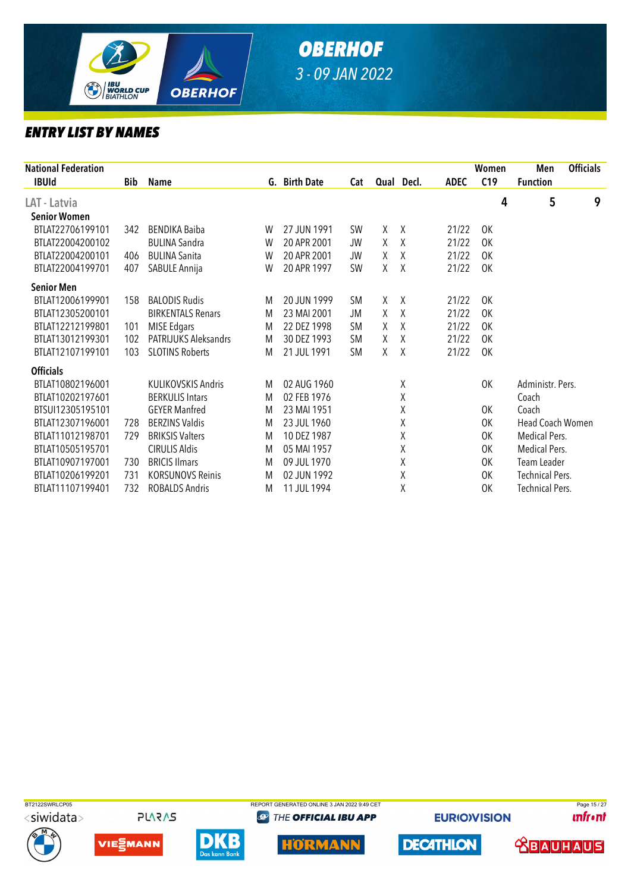

| <b>National Federation</b> |            |                             |   |               |           |   |            |             | Women     | Men                    | <b>Officials</b> |
|----------------------------|------------|-----------------------------|---|---------------|-----------|---|------------|-------------|-----------|------------------------|------------------|
| <b>IBUId</b>               | <b>Bib</b> | <b>Name</b>                 |   | G. Birth Date | Cat       |   | Qual Decl. | <b>ADEC</b> | C19       | <b>Function</b>        |                  |
| LAT - Latvia               |            |                             |   |               |           |   |            |             | 4         | 5                      | 9                |
| <b>Senior Women</b>        |            |                             |   |               |           |   |            |             |           |                        |                  |
| BTLAT22706199101           | 342        | <b>BENDIKA Baiba</b>        | W | 27 JUN 1991   | <b>SW</b> | X | X          | 21/22       | 0K        |                        |                  |
| BTLAT22004200102           |            | <b>BULINA Sandra</b>        | W | 20 APR 2001   | <b>JW</b> | X | Χ          | 21/22       | 0K        |                        |                  |
| BTLAT22004200101           | 406        | <b>BULINA Sanita</b>        | W | 20 APR 2001   | JW        | X | Χ          | 21/22       | 0K        |                        |                  |
| BTLAT22004199701           | 407        | SABULE Annija               | W | 20 APR 1997   | SW        | χ | Χ          | 21/22       | OK        |                        |                  |
| <b>Senior Men</b>          |            |                             |   |               |           |   |            |             |           |                        |                  |
| BTLAT12006199901           | 158        | <b>BALODIS Rudis</b>        | M | 20 JUN 1999   | <b>SM</b> | χ | X          | 21/22       | 0K        |                        |                  |
| BTLAT12305200101           |            | <b>BIRKENTALS Renars</b>    | M | 23 MAI 2001   | JM        | χ | $\chi$     | 21/22       | <b>OK</b> |                        |                  |
| BTLAT12212199801           | 101        | <b>MISE Edgars</b>          | M | 22 DEZ 1998   | <b>SM</b> | X | Χ          | 21/22       | <b>OK</b> |                        |                  |
| BTLAT13012199301           | 102        | <b>PATRIJUKS Aleksandrs</b> | M | 30 DEZ 1993   | <b>SM</b> | X | X          | 21/22       | <b>OK</b> |                        |                  |
| BTLAT12107199101           | 103        | <b>SLOTINS Roberts</b>      | M | 21 JUL 1991   | <b>SM</b> | X | X          | 21/22       | <b>OK</b> |                        |                  |
| <b>Officials</b>           |            |                             |   |               |           |   |            |             |           |                        |                  |
| BTLAT10802196001           |            | <b>KULIKOVSKIS Andris</b>   | M | 02 AUG 1960   |           |   | Χ          |             | 0K        | Administr. Pers.       |                  |
| BTLAT10202197601           |            | <b>BERKULIS Intars</b>      | M | 02 FEB 1976   |           |   | χ          |             |           | Coach                  |                  |
| BTSUI12305195101           |            | <b>GEYER Manfred</b>        | M | 23 MAI 1951   |           |   | χ          |             | 0K        | Coach                  |                  |
| BTLAT12307196001           | 728        | <b>BERZINS Valdis</b>       | M | 23 JUL 1960   |           |   | χ          |             | 0K        | Head Coach Women       |                  |
| BTLAT11012198701           | 729        | <b>BRIKSIS Valters</b>      | M | 10 DEZ 1987   |           |   | χ          |             | 0K        | Medical Pers.          |                  |
| BTLAT10505195701           |            | <b>CIRULIS Aldis</b>        | M | 05 MAI 1957   |           |   | χ          |             | 0K        | Medical Pers.          |                  |
| BTLAT10907197001           | 730        | <b>BRICIS Ilmars</b>        | M | 09 JUL 1970   |           |   | χ          |             | 0K        | Team Leader            |                  |
| BTLAT10206199201           | 731        | <b>KORSUNOVS Reinis</b>     | M | 02 JUN 1992   |           |   | χ          |             | 0K        | <b>Technical Pers.</b> |                  |
| BTLAT11107199401           | 732        | <b>ROBALDS Andris</b>       | M | 11 JUL 1994   |           |   | χ          |             | 0K        | <b>Technical Pers.</b> |                  |











**@ THE OFFICIAL IBU APP** 



**EURIOVISION** 

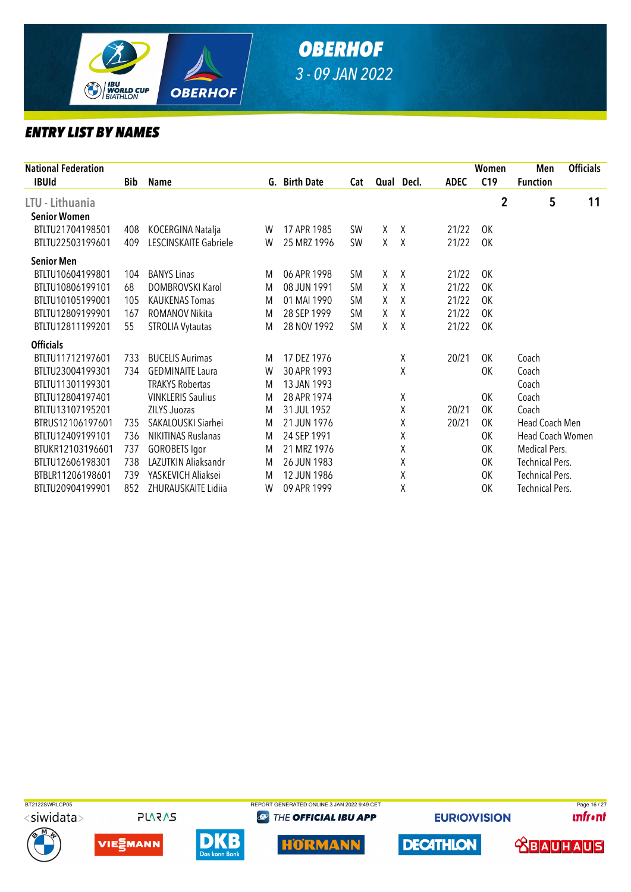

| <b>National Federation</b> |            |                           |   |               |           |    |            |             | Women          | Men                    | <b>Officials</b> |
|----------------------------|------------|---------------------------|---|---------------|-----------|----|------------|-------------|----------------|------------------------|------------------|
| <b>IBUId</b>               | <b>Bib</b> | <b>Name</b>               |   | G. Birth Date | Cat       |    | Qual Decl. | <b>ADEC</b> | C19            | <b>Function</b>        |                  |
| LTU - Lithuania            |            |                           |   |               |           |    |            |             | $\overline{2}$ | 5                      | 11               |
| <b>Senior Women</b>        |            |                           |   |               |           |    |            |             |                |                        |                  |
| BTLTU21704198501           | 408        | KOCERGINA Natalja         | W | 17 APR 1985   | <b>SW</b> | X. | X          | 21/22       | OK             |                        |                  |
| BTLTU22503199601           | 409        | LESCINSKAITE Gabriele     | W | 25 MRZ 1996   | <b>SW</b> | Χ  | Χ          | 21/22       | OK             |                        |                  |
| <b>Senior Men</b>          |            |                           |   |               |           |    |            |             |                |                        |                  |
| BTLTU10604199801           | 104        | <b>BANYS Linas</b>        | M | 06 APR 1998   | <b>SM</b> | X  | X          | 21/22       | 0K             |                        |                  |
| BTLTU10806199101           | 68         | <b>DOMBROVSKI Karol</b>   | M | 08 JUN 1991   | <b>SM</b> | χ  | Χ          | 21/22       | 0K             |                        |                  |
| BTLTU10105199001           | 105        | <b>KAUKENAS Tomas</b>     | M | 01 MAI 1990   | <b>SM</b> | X  | X          | 21/22       | 0K             |                        |                  |
| BTLTU12809199901           | 167        | ROMANOV Nikita            | M | 28 SEP 1999   | <b>SM</b> | Χ  | Χ          | 21/22       | 0K             |                        |                  |
| BTLTU12811199201           | 55         | <b>STROLIA Vytautas</b>   | M | 28 NOV 1992   | <b>SM</b> | X. | X          | 21/22       | <b>OK</b>      |                        |                  |
| <b>Officials</b>           |            |                           |   |               |           |    |            |             |                |                        |                  |
| BTLTU11712197601           | 733        | <b>BUCELIS Aurimas</b>    | M | 17 DEZ 1976   |           |    | Χ          | 20/21       | OK             | Coach                  |                  |
| BTLTU23004199301           | 734        | <b>GEDMINAITE Laura</b>   | W | 30 APR 1993   |           |    | Χ          |             | 0K             | Coach                  |                  |
| BTLTU11301199301           |            | <b>TRAKYS Robertas</b>    | M | 13 JAN 1993   |           |    |            |             |                | Coach                  |                  |
| BTLTU12804197401           |            | <b>VINKLERIS Saulius</b>  | M | 28 APR 1974   |           |    | Χ          |             | 0K             | Coach                  |                  |
| BTLTU13107195201           |            | <b>ZILYS Juozas</b>       | M | 31 JUL 1952   |           |    | χ          | 20/21       | OK             | Coach                  |                  |
| BTRUS12106197601           | 735        | SAKALOUSKI Siarhei        | M | 21 JUN 1976   |           |    | χ          | 20/21       | <b>OK</b>      | Head Coach Men         |                  |
| BTLTU12409199101           | 736        | <b>NIKITINAS Ruslanas</b> | M | 24 SEP 1991   |           |    | χ          |             | 0K             | Head Coach Women       |                  |
| BTUKR12103196601           | 737        | <b>GOROBETS Igor</b>      | M | 21 MRZ 1976   |           |    | χ          |             | 0K             | Medical Pers.          |                  |
| BTLTU12606198301           | 738        | LAZUTKIN Aliaksandr       | M | 26 JUN 1983   |           |    | Χ          |             | 0K             | <b>Technical Pers.</b> |                  |
| BTBLR11206198601           | 739        | YASKEVICH Aliaksei        | M | 12 JUN 1986   |           |    | χ          |             | 0K             | <b>Technical Pers.</b> |                  |
| BTLTU20904199901           | 852        | ZHURAUSKAITE Lidiia       | W | 09 APR 1999   |           |    | χ          |             | OK             | <b>Technical Pers.</b> |                  |
|                            |            |                           |   |               |           |    |            |             |                |                        |                  |











**@ THE OFFICIAL IBU APP** 



**EURIOVISION** 

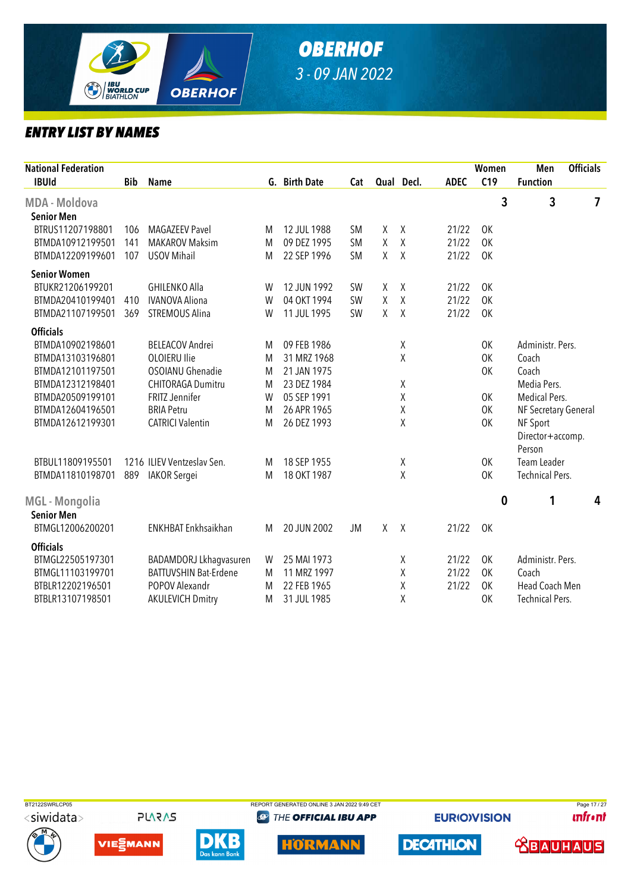

| National Federation<br><b>IBUId</b> | <b>Bib</b> | Name                         |   | G. Birth Date | Cat       |              | Qual Decl.   | <b>ADEC</b> | Women<br>C19   | Men<br><b>Function</b> | <b>Officials</b> |  |
|-------------------------------------|------------|------------------------------|---|---------------|-----------|--------------|--------------|-------------|----------------|------------------------|------------------|--|
| <b>MDA - Moldova</b>                |            |                              |   |               |           |              |              |             | $\overline{3}$ | $\overline{3}$         | $\overline{7}$   |  |
| <b>Senior Men</b>                   |            |                              |   |               |           |              |              |             |                |                        |                  |  |
| BTRUS11207198801                    | 106        | <b>MAGAZEEV Pavel</b>        | M | 12 JUL 1988   | <b>SM</b> | X            | χ            | 21/22       | 0K             |                        |                  |  |
| BTMDA10912199501                    | 141        | <b>MAKAROV Maksim</b>        | M | 09 DEZ 1995   | <b>SM</b> | X            | Χ            | 21/22       | <b>OK</b>      |                        |                  |  |
| BTMDA12209199601                    | 107        | <b>USOV Mihail</b>           | M | 22 SEP 1996   | <b>SM</b> | $\mathsf{X}$ | χ            | 21/22       | <b>OK</b>      |                        |                  |  |
| <b>Senior Women</b>                 |            |                              |   |               |           |              |              |             |                |                        |                  |  |
| BTUKR21206199201                    |            | <b>GHILENKO Alla</b>         | W | 12 JUN 1992   | SW        | X            | χ            | 21/22       | <b>OK</b>      |                        |                  |  |
| BTMDA20410199401                    | 410        | <b>IVANOVA Aliona</b>        | W | 04 OKT 1994   | SW        | Χ            | Χ            | 21/22       | <b>OK</b>      |                        |                  |  |
| BTMDA21107199501                    | 369        | STREMOUS Alina               | W | 11 JUL 1995   | <b>SW</b> | $\chi$       | χ            | 21/22       | OK             |                        |                  |  |
| <b>Officials</b>                    |            |                              |   |               |           |              |              |             |                |                        |                  |  |
| BTMDA10902198601                    |            | <b>BELEACOV Andrei</b>       | M | 09 FEB 1986   |           |              | χ            |             | OK             | Administr. Pers.       |                  |  |
| BTMDA13103196801                    |            | <b>OLOIERU Ilie</b>          | M | 31 MRZ 1968   |           |              | Χ            |             | OK             | Coach                  |                  |  |
| BTMDA12101197501                    |            | <b>OSOIANU Ghenadie</b>      | M | 21 JAN 1975   |           |              |              |             | OK             | Coach                  |                  |  |
| BTMDA12312198401                    |            | CHITORAGA Dumitru            | M | 23 DEZ 1984   |           |              | χ            |             |                | Media Pers.            |                  |  |
| BTMDA20509199101                    |            | <b>FRITZ Jennifer</b>        | W | 05 SEP 1991   |           |              | Χ            |             | OK             | Medical Pers.          |                  |  |
| BTMDA12604196501                    |            | <b>BRIA Petru</b>            | M | 26 APR 1965   |           |              | Χ            |             | OK             | NF Secretary General   |                  |  |
| BTMDA12612199301                    |            | <b>CATRICI Valentin</b>      | M | 26 DEZ 1993   |           |              | Χ            |             | 0K             | NF Sport               |                  |  |
|                                     |            |                              |   |               |           |              |              |             |                | Director+accomp.       |                  |  |
|                                     |            |                              |   |               |           |              |              |             |                | Person                 |                  |  |
| BTBUL11809195501                    |            | 1216 ILIEV Ventzeslav Sen.   | M | 18 SEP 1955   |           |              | Χ            |             | OK             | Team Leader            |                  |  |
| BTMDA11810198701                    | 889        | <b>IAKOR</b> Sergei          | M | 18 OKT 1987   |           |              | X            |             | OK             | <b>Technical Pers.</b> |                  |  |
|                                     |            |                              |   |               |           |              |              |             |                |                        |                  |  |
| MGL - Mongolia                      |            |                              |   |               |           |              |              |             | $\bf{0}$       | 1                      | 4                |  |
| <b>Senior Men</b>                   |            |                              |   |               |           |              |              |             |                |                        |                  |  |
| BTMGL12006200201                    |            | ENKHBAT Enkhsaikhan          | M | 20 JUN 2002   | <b>JM</b> | X            | $\mathsf{X}$ | 21/22       | 0K             |                        |                  |  |
| <b>Officials</b>                    |            |                              |   |               |           |              |              |             |                |                        |                  |  |
| BTMGL22505197301                    |            | BADAMDORJ Lkhagvasuren       | W | 25 MAI 1973   |           |              | χ            | 21/22       | 0K             | Administr. Pers.       |                  |  |
| BTMGL11103199701                    |            | <b>BATTUVSHIN Bat-Erdene</b> | M | 11 MRZ 1997   |           |              | Χ            | 21/22       | 0K             | Coach                  |                  |  |
| BTBLR12202196501                    |            | POPOV Alexandr               | M | 22 FEB 1965   |           |              | Χ            | 21/22       | <b>OK</b>      | Head Coach Men         |                  |  |
| BTBLR13107198501                    |            | <b>AKULEVICH Dmitry</b>      | M | 31 JUL 1985   |           |              | Χ            |             | 0K             | <b>Technical Pers.</b> |                  |  |



**PLARAS** 







**@** THE OFFICIAL IBU APP

**EURIOVISION** 

**DECATHLON** 

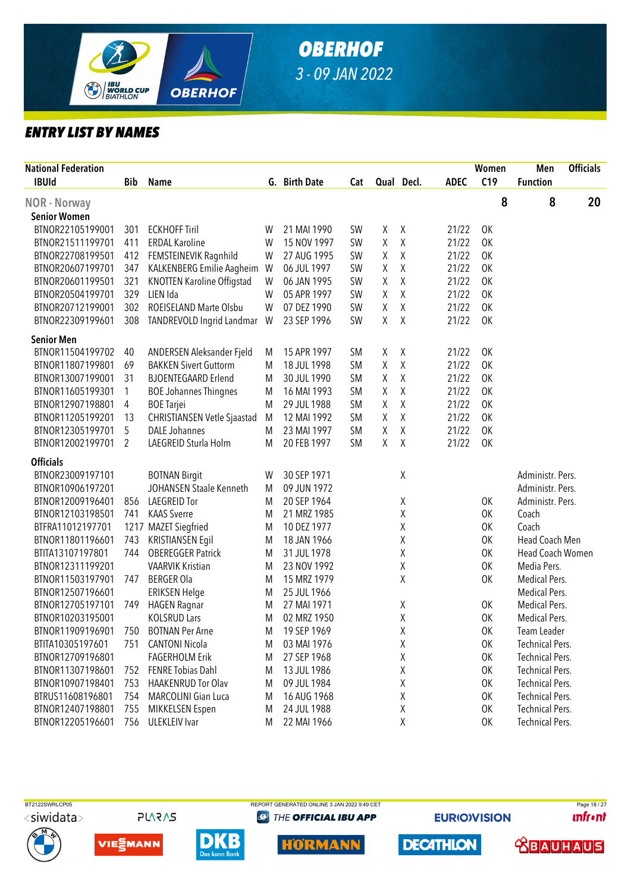

| <b>National Federation</b> |            |                                    |   |               |           |   |              |             | Women | Men                     | <b>Officials</b> |
|----------------------------|------------|------------------------------------|---|---------------|-----------|---|--------------|-------------|-------|-------------------------|------------------|
| <b>IBUId</b>               | <b>Bib</b> | <b>Name</b>                        |   | G. Birth Date | Cat       |   | Qual Decl.   | <b>ADEC</b> | C19   | <b>Function</b>         |                  |
| NOR - Norway               |            |                                    |   |               |           |   |              |             | 8     | 8                       | 20               |
| <b>Senior Women</b>        |            |                                    |   |               |           |   |              |             |       |                         |                  |
| BTNOR22105199001           | 301        | <b>ECKHOFF Tiril</b>               | W | 21 MAI 1990   | <b>SW</b> | χ | X            | 21/22       | 0K    |                         |                  |
| BTNOR21511199701           | 411        | <b>ERDAL Karoline</b>              | W | 15 NOV 1997   | <b>SW</b> | Χ | χ            | 21/22       | 0K    |                         |                  |
| BTNOR22708199501           | 412        | FEMSTEINEVIK Ragnhild              | W | 27 AUG 1995   | <b>SW</b> | χ | $\sf X$      | 21/22       | 0K    |                         |                  |
| BTNOR20607199701           | 347        | KALKENBERG Emilie Aagheim          | W | 06 JUL 1997   | <b>SW</b> | Χ | χ            | 21/22       | 0K    |                         |                  |
| BTNOR20601199501           | 321        | <b>KNOTTEN Karoline Offigstad</b>  | W | 06 JAN 1995   | <b>SW</b> | χ | Χ            | 21/22       | 0K    |                         |                  |
| BTNOR20504199701           | 329        | LIEN Ida                           | W | 05 APR 1997   | <b>SW</b> | χ | $\sf X$      | 21/22       | 0K    |                         |                  |
| BTNOR20712199001           | 302        | ROEISELAND Marte Olsbu             | W | 07 DEZ 1990   | <b>SW</b> | χ | $\sf X$      | 21/22       | 0K    |                         |                  |
| BTNOR22309199601           | 308        | TANDREVOLD Ingrid Landmar          | W | 23 SEP 1996   | <b>SW</b> | χ | $\mathsf{X}$ | 21/22       | 0K    |                         |                  |
| <b>Senior Men</b>          |            |                                    |   |               |           |   |              |             |       |                         |                  |
| BTNOR11504199702           | 40         | ANDERSEN Aleksander Fjeld          | M | 15 APR 1997   | <b>SM</b> | χ | χ            | 21/22       | 0K    |                         |                  |
| BTNOR11807199801           | 69         | <b>BAKKEN Sivert Guttorm</b>       | M | 18 JUL 1998   | <b>SM</b> | χ | $\mathsf X$  | 21/22       | 0K    |                         |                  |
| BTNOR13007199001           | 31         | <b>BJOENTEGAARD Erlend</b>         | M | 30 JUL 1990   | <b>SM</b> | χ | Χ            | 21/22       | 0K    |                         |                  |
| BTNOR11605199301           | 1          | <b>BOE Johannes Thingnes</b>       | M | 16 MAI 1993   | <b>SM</b> | Χ | Χ            | 21/22       | 0K    |                         |                  |
| BTNOR12907198801           | 4          | <b>BOE Tarjei</b>                  | M | 29 JUL 1988   | <b>SM</b> | χ | Χ            | 21/22       | 0K    |                         |                  |
| BTNOR11205199201           | 13         | <b>CHRISTIANSEN Vetle Sjaastad</b> | M | 12 MAI 1992   | <b>SM</b> | Χ | Χ            | 21/22       | 0K    |                         |                  |
| BTNOR12305199701           | 5          | <b>DALE Johannes</b>               | M | 23 MAI 1997   | <b>SM</b> | χ | χ            | 21/22       | OK    |                         |                  |
| BTNOR12002199701           | 2          | LAEGREID Sturla Holm               | M | 20 FEB 1997   | <b>SM</b> | χ | χ            | 21/22       | 0K    |                         |                  |
| <b>Officials</b>           |            |                                    |   |               |           |   |              |             |       |                         |                  |
| BTNOR23009197101           |            | <b>BOTNAN Birgit</b>               | W | 30 SEP 1971   |           |   | χ            |             |       | Administr. Pers.        |                  |
| BTNOR10906197201           |            | JOHANSEN Staale Kenneth            | M | 09 JUN 1972   |           |   |              |             |       | Administr. Pers.        |                  |
| BTNOR12009196401           | 856        | LAEGREID Tor                       | M | 20 SEP 1964   |           |   | χ            |             | 0K    | Administr. Pers.        |                  |
| BTNOR12103198501           | 741        | <b>KAAS</b> Sverre                 | M | 21 MRZ 1985   |           |   | χ            |             | OK    | Coach                   |                  |
| BTFRA11012197701           |            | 1217 MAZET Siegfried               | M | 10 DEZ 1977   |           |   | χ            |             | OK    | Coach                   |                  |
| BTNOR11801196601           | 743        | <b>KRISTIANSEN Egil</b>            | M | 18 JAN 1966   |           |   | χ            |             | OK    | Head Coach Men          |                  |
| BTITA13107197801           | 744        | <b>OBEREGGER Patrick</b>           | M | 31 JUL 1978   |           |   | χ            |             | OK    | <b>Head Coach Women</b> |                  |
| BTNOR12311199201           |            | <b>VAARVIK Kristian</b>            | M | 23 NOV 1992   |           |   | χ            |             | OK    | Media Pers.             |                  |
| BTNOR11503197901           | 747        | <b>BERGER Ola</b>                  | M | 15 MRZ 1979   |           |   | χ            |             | 0K    | Medical Pers.           |                  |
| BTNOR12507196601           |            | <b>ERIKSEN Helge</b>               | M | 25 JUL 1966   |           |   |              |             |       | Medical Pers.           |                  |
| BTNOR12705197101           | 749        | <b>HAGEN Ragnar</b>                | M | 27 MAI 1971   |           |   | Χ            |             | 0K    | Medical Pers.           |                  |
| BTNOR10203195001           |            | <b>KOLSRUD Lars</b>                | M | 02 MRZ 1950   |           |   | χ            |             | 0K    | Medical Pers.           |                  |
| BTNOR11909196901           | 750        | <b>BOTNAN Per Arne</b>             | M | 19 SEP 1969   |           |   | χ            |             | 0K    | Team Leader             |                  |
| BTITA10305197601           | 751        | <b>CANTONI Nicola</b>              | M | 03 MAI 1976   |           |   | Χ            |             | 0K    | <b>Technical Pers.</b>  |                  |
| BTNOR12709196801           |            | <b>FAGERHOLM Erik</b>              | M | 27 SEP 1968   |           |   | χ            |             | OK    | <b>Technical Pers.</b>  |                  |
| BTNOR11307198601           | 752        | <b>FENRE Tobias Dahl</b>           | M | 13 JUL 1986   |           |   | Χ            |             | OK    | <b>Technical Pers.</b>  |                  |
| BTNOR10907198401           | 753        | <b>HAAKENRUD Tor Olav</b>          | M | 09 JUL 1984   |           |   | χ            |             | OK    | <b>Technical Pers.</b>  |                  |
| BTRUS11608196801           | 754        | MARCOLINI Gian Luca                | M | 16 AUG 1968   |           |   | χ            |             | 0K    | <b>Technical Pers.</b>  |                  |
| BTNOR12407198801           | 755        | MIKKELSEN Espen                    | M | 24 JUL 1988   |           |   | Χ            |             | 0K    | <b>Technical Pers.</b>  |                  |
| BTNOR12205196601           | 756        | <b>ULEKLEIV</b> Ivar               | M | 22 MAI 1966   |           |   | χ            |             | OK    | <b>Technical Pers.</b>  |                  |

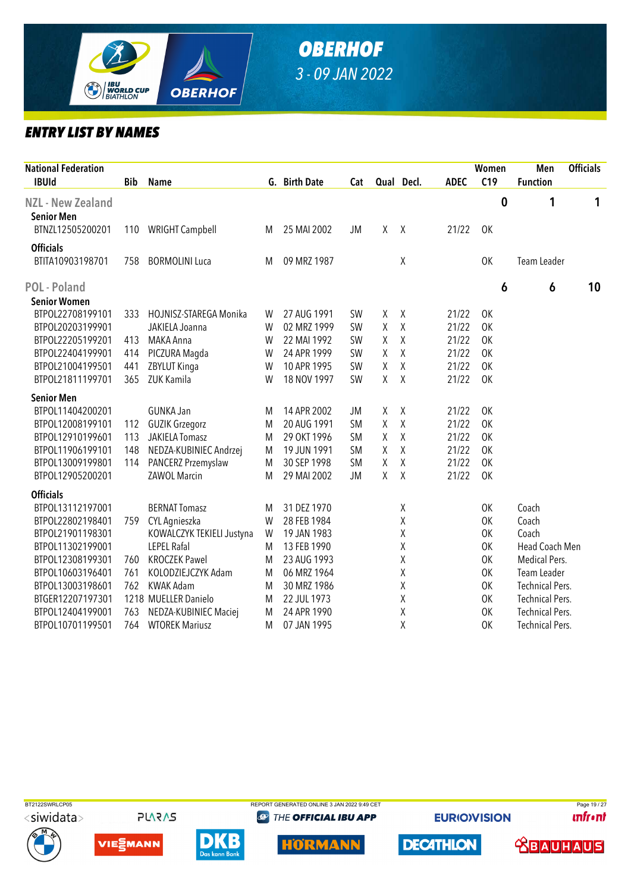

| <b>National Federation</b><br><b>IBUId</b> | <b>Bib</b> | <b>Name</b>               |   | G. Birth Date | Cat       |   | Qual Decl.   | <b>ADEC</b> | Women<br>C19 |          | Men<br><b>Function</b> | <b>Officials</b> |
|--------------------------------------------|------------|---------------------------|---|---------------|-----------|---|--------------|-------------|--------------|----------|------------------------|------------------|
| <b>NZL - New Zealand</b>                   |            |                           |   |               |           |   |              |             |              | $\bf{0}$ | 1                      | 1                |
| <b>Senior Men</b>                          |            |                           |   |               |           |   |              |             |              |          |                        |                  |
| BTNZL12505200201                           | 110        | <b>WRIGHT Campbell</b>    | M | 25 MAI 2002   | <b>JM</b> | Χ | $\mathsf{X}$ | 21/22       | OK           |          |                        |                  |
| <b>Officials</b>                           |            |                           |   |               |           |   |              |             |              |          |                        |                  |
| BTITA10903198701                           | 758        | <b>BORMOLINI Luca</b>     | M | 09 MRZ 1987   |           |   | χ            |             | <b>OK</b>    |          | Team Leader            |                  |
| <b>POL</b> - Poland                        |            |                           |   |               |           |   |              |             |              | 6        | 6                      | 10               |
| <b>Senior Women</b>                        |            |                           |   |               |           |   |              |             |              |          |                        |                  |
| BTPOL22708199101                           | 333        | HOJNISZ-STAREGA Monika    | W | 27 AUG 1991   | <b>SW</b> | X | χ            | 21/22       | 0K           |          |                        |                  |
| BTPOL20203199901                           |            | JAKIELA Joanna            | W | 02 MRZ 1999   | <b>SW</b> | χ | Χ            | 21/22       | OK           |          |                        |                  |
| BTPOL22205199201                           | 413        | MAKA Anna                 | W | 22 MAI 1992   | SW        | χ | Χ            | 21/22       | 0K           |          |                        |                  |
| BTPOL22404199901                           | 414        | PICZURA Magda             | W | 24 APR 1999   | SW        | Χ | Χ            | 21/22       | OK           |          |                        |                  |
| BTPOL21004199501                           | 441        | ZBYLUT Kinga              | W | 10 APR 1995   | SW        | Χ | χ            | 21/22       | OK           |          |                        |                  |
| BTPOL21811199701                           | 365        | ZUK Kamila                | W | 18 NOV 1997   | SW        | Χ | Χ            | 21/22       | 0K           |          |                        |                  |
| <b>Senior Men</b>                          |            |                           |   |               |           |   |              |             |              |          |                        |                  |
| BTPOL11404200201                           |            | <b>GUNKA Jan</b>          | M | 14 APR 2002   | <b>JM</b> | χ | Χ            | 21/22       | 0K           |          |                        |                  |
| BTPOL12008199101                           | 112        | <b>GUZIK Grzegorz</b>     | M | 20 AUG 1991   | <b>SM</b> | Χ | Χ            | 21/22       | <b>OK</b>    |          |                        |                  |
| BTPOL12910199601                           | 113        | <b>JAKIELA Tomasz</b>     | M | 29 OKT 1996   | <b>SM</b> | Χ | Χ            | 21/22       | <b>OK</b>    |          |                        |                  |
| BTPOL11906199101                           | 148        | NEDZA-KUBINIEC Andrzej    | M | 19 JUN 1991   | <b>SM</b> | Χ | Χ            | 21/22       | <b>OK</b>    |          |                        |                  |
| BTPOL13009199801                           | 114        | PANCERZ Przemyslaw        | M | 30 SEP 1998   | <b>SM</b> | χ | χ            | 21/22       | 0K           |          |                        |                  |
| BTPOL12905200201                           |            | <b>ZAWOL Marcin</b>       | M | 29 MAI 2002   | JM        | Χ | X            | 21/22       | 0K           |          |                        |                  |
| <b>Officials</b>                           |            |                           |   |               |           |   |              |             |              |          |                        |                  |
| BTPOL13112197001                           |            | <b>BERNAT Tomasz</b>      | M | 31 DEZ 1970   |           |   | Χ            |             | OK           |          | Coach                  |                  |
| BTPOL22802198401                           | 759        | CYL Agnieszka             | W | 28 FEB 1984   |           |   | Χ            |             | OK           |          | Coach                  |                  |
| BTPOL21901198301                           |            | KOWALCZYK TEKIELI Justyna | W | 19 JAN 1983   |           |   | Χ            |             | OK           |          | Coach                  |                  |
| BTPOL11302199001                           |            | <b>LEPEL Rafal</b>        | M | 13 FEB 1990   |           |   | Χ            |             | OK           |          | Head Coach Men         |                  |
| BTPOL12308199301                           | 760        | <b>KROCZEK Pawel</b>      | M | 23 AUG 1993   |           |   | Χ            |             | 0K           |          | Medical Pers.          |                  |
| BTPOL10603196401                           | 761        | KOLODZIEJCZYK Adam        | M | 06 MRZ 1964   |           |   | Χ            |             | OK           |          | Team Leader            |                  |
| BTPOL13003198601                           | 762        | <b>KWAK Adam</b>          | M | 30 MRZ 1986   |           |   | Χ            |             | OK           |          | <b>Technical Pers.</b> |                  |
| BTGER12207197301                           |            | 1218 MUELLER Danielo      | M | 22 JUL 1973   |           |   | Χ            |             | OK           |          | <b>Technical Pers.</b> |                  |
| BTPOL12404199001                           | 763        | NEDZA-KUBINIEC Maciej     | M | 24 APR 1990   |           |   | χ            |             | OK           |          | <b>Technical Pers.</b> |                  |
| BTPOL10701199501                           | 764        | <b>WTOREK Mariusz</b>     | M | 07 JAN 1995   |           |   | χ            |             | 0K           |          | <b>Technical Pers.</b> |                  |

BT2122SWRLCP05 REPORT GENERATED ONLINE 3 JAN 2022 9:49 CET PAGE 19 / 27 <siwidata>

**PLARAS** 







**@ THE OFFICIAL IBU APP** 

**DECATHLON** 

**EURIOVISION** 

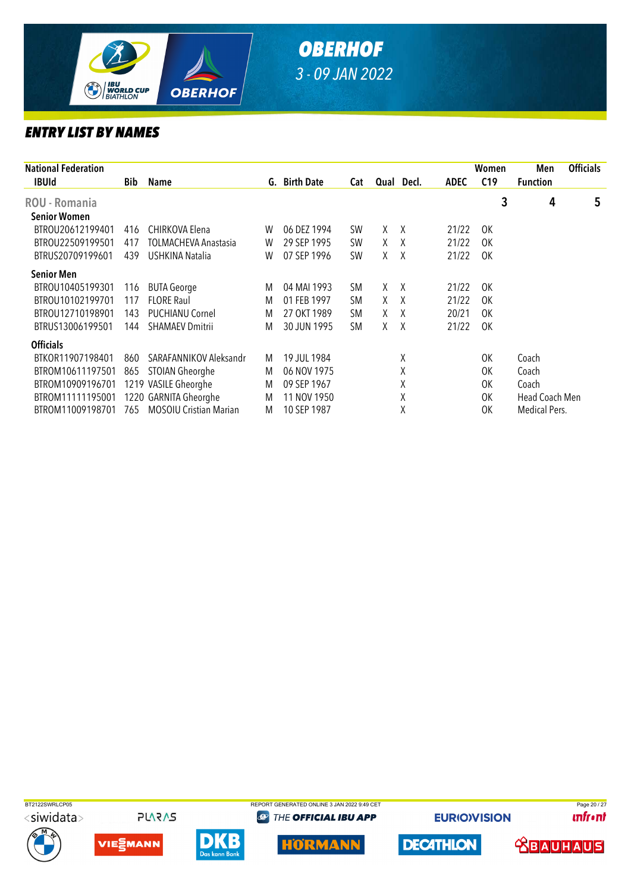

| <b>National Federation</b> |     |                               |   |               |           |    |            |             | Women           | Men                  | <b>Officials</b> |
|----------------------------|-----|-------------------------------|---|---------------|-----------|----|------------|-------------|-----------------|----------------------|------------------|
| <b>IBUId</b>               | Bib | Name                          |   | G. Birth Date | Cat       |    | Qual Decl. | <b>ADEC</b> | C <sub>19</sub> | <b>Function</b>      |                  |
| <b>ROU - Romania</b>       |     |                               |   |               |           |    |            |             | 3               | 4                    | 5                |
| <b>Senior Women</b>        |     |                               |   |               |           |    |            |             |                 |                      |                  |
| BTROU20612199401           | 416 | CHIRKOVA Elena                | W | 06 DEZ 1994   | <b>SW</b> | X. | X          | 21/22       | 0K              |                      |                  |
| BTROU22509199501           | 417 | TOLMACHEVA Anastasia          | W | 29 SEP 1995   | <b>SW</b> | X  | X          | 21/22       | 0K              |                      |                  |
| BTRUS20709199601           | 439 | USHKINA Natalia               | W | 07 SEP 1996   | <b>SW</b> | X  | X          | 21/22       | 0K              |                      |                  |
| <b>Senior Men</b>          |     |                               |   |               |           |    |            |             |                 |                      |                  |
| BTROU10405199301           | 116 | <b>BUTA George</b>            | M | 04 MAI 1993   | <b>SM</b> | X  | $\lambda$  | 21/22       | 0K              |                      |                  |
| BTROU10102199701           | 117 | <b>FLORE Raul</b>             | M | 01 FEB 1997   | <b>SM</b> | X  | $\lambda$  | 21/22       | 0K              |                      |                  |
| BTROU12710198901           | 143 | <b>PUCHIANU Cornel</b>        | M | 27 OKT 1989   | <b>SM</b> | X  | X          | 20/21       | 0K              |                      |                  |
| BTRUS13006199501           | 144 | <b>SHAMAEV Dmitrii</b>        | M | 30 JUN 1995   | <b>SM</b> | X. | $\lambda$  | 21/22       | 0K              |                      |                  |
| <b>Officials</b>           |     |                               |   |               |           |    |            |             |                 |                      |                  |
| BTKOR11907198401           | 860 | SARAFANNIKOV Aleksandr        | M | 19 JUL 1984   |           |    | Χ          |             | 0K              | Coach                |                  |
| BTROM10611197501           | 865 | STOIAN Gheorghe               | M | 06 NOV 1975   |           |    | Χ          |             | 0K              | Coach                |                  |
| BTROM10909196701           |     | 1219 VASILE Gheorghe          | M | 09 SEP 1967   |           |    | Χ          |             | 0K              | Coach                |                  |
| BTROM11111195001           |     | 1220 GARNITA Gheorghe         | M | 11 NOV 1950   |           |    | Χ          |             | 0K              | Head Coach Men       |                  |
| BTROM11009198701           | 765 | <b>MOSOIU Cristian Marian</b> | M | 10 SEP 1987   |           |    | Χ          |             | ΟK              | <b>Medical Pers.</b> |                  |

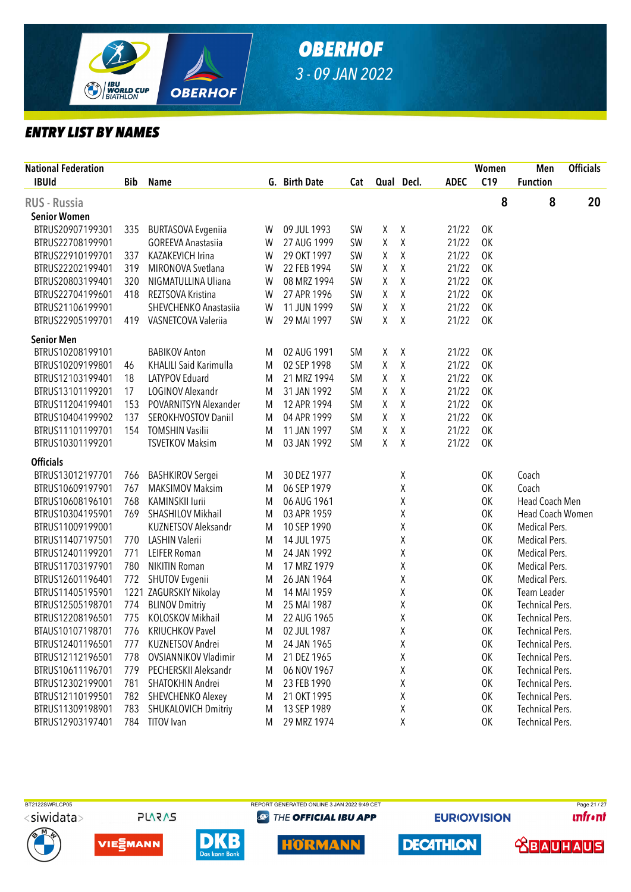

| <b>National Federation</b><br><b>IBUId</b> |     |                               |   |               |           |              |              |             | Women<br>C19 | Men                    | <b>Officials</b> |
|--------------------------------------------|-----|-------------------------------|---|---------------|-----------|--------------|--------------|-------------|--------------|------------------------|------------------|
|                                            | Bib | <b>Name</b>                   |   | G. Birth Date | Cat       |              | Qual Decl.   | <b>ADEC</b> |              | <b>Function</b>        |                  |
| <b>RUS - Russia</b>                        |     |                               |   |               |           |              |              |             | 8            | 8                      | 20               |
| <b>Senior Women</b>                        |     |                               |   |               |           |              |              |             |              |                        |                  |
| BTRUS20907199301                           | 335 | <b>BURTASOVA Evgeniia</b>     | W | 09 JUL 1993   | <b>SW</b> | χ            | $\chi$       | 21/22       | OK           |                        |                  |
| BTRUS22708199901                           |     | <b>GOREEVA Anastasiia</b>     | W | 27 AUG 1999   | <b>SW</b> | Χ            | $\chi$       | 21/22       | 0K           |                        |                  |
| BTRUS22910199701                           | 337 | <b>KAZAKEVICH Irina</b>       | W | 29 OKT 1997   | <b>SW</b> | Χ            | $\pmb{\chi}$ | 21/22       | <b>OK</b>    |                        |                  |
| BTRUS22202199401                           | 319 | MIRONOVA Svetlana             | W | 22 FEB 1994   | <b>SW</b> | χ            | $\mathsf X$  | 21/22       | <b>OK</b>    |                        |                  |
| BTRUS20803199401                           | 320 | NIGMATULLINA Uliana           | W | 08 MRZ 1994   | <b>SW</b> | χ            | $\mathsf X$  | 21/22       | <b>OK</b>    |                        |                  |
| BTRUS22704199601                           | 418 | REZTSOVA Kristina             | W | 27 APR 1996   | <b>SW</b> | Χ            | $\chi$       | 21/22       | 0K           |                        |                  |
| BTRUS21106199901                           |     | SHEVCHENKO Anastasiia         | W | 11 JUN 1999   | SW        | Χ            | $\chi$       | 21/22       | 0K           |                        |                  |
| BTRUS22905199701                           | 419 | VASNETCOVA Valeriia           | W | 29 MAI 1997   | SW        | $\mathsf{X}$ | $\chi$       | 21/22       | OK           |                        |                  |
| <b>Senior Men</b>                          |     |                               |   |               |           |              |              |             |              |                        |                  |
| BTRUS10208199101                           |     | <b>BABIKOV Anton</b>          | M | 02 AUG 1991   | <b>SM</b> | X            | $\chi$       | 21/22       | OK           |                        |                  |
| BTRUS10209199801                           | 46  | <b>KHALILI Said Karimulla</b> | M | 02 SEP 1998   | <b>SM</b> | Χ            | $\mathsf X$  | 21/22       | 0K           |                        |                  |
| BTRUS12103199401                           | 18  | LATYPOV Eduard                | M | 21 MRZ 1994   | <b>SM</b> | Χ            | Χ            | 21/22       | 0K           |                        |                  |
| BTRUS13101199201                           | 17  | <b>LOGINOV Alexandr</b>       | M | 31 JAN 1992   | <b>SM</b> | Χ            | χ            | 21/22       | 0K           |                        |                  |
| BTRUS11204199401                           | 153 | POVARNITSYN Alexander         | M | 12 APR 1994   | <b>SM</b> | Χ            | χ            | 21/22       | 0K           |                        |                  |
| BTRUS10404199902                           | 137 | <b>SEROKHVOSTOV Daniil</b>    | M | 04 APR 1999   | <b>SM</b> | Χ            | χ            | 21/22       | 0K           |                        |                  |
| BTRUS11101199701                           | 154 | <b>TOMSHIN Vasilii</b>        | M | 11 JAN 1997   | <b>SM</b> | χ            | χ            | 21/22       | 0K           |                        |                  |
| BTRUS10301199201                           |     | <b>TSVETKOV Maksim</b>        | M | 03 JAN 1992   | <b>SM</b> | χ            | $\chi$       | 21/22       | OK           |                        |                  |
| <b>Officials</b>                           |     |                               |   |               |           |              |              |             |              |                        |                  |
| BTRUS13012197701                           | 766 | <b>BASHKIROV Sergei</b>       | M | 30 DEZ 1977   |           |              | χ            |             | 0K           | Coach                  |                  |
| BTRUS10609197901                           | 767 | <b>MAKSIMOV Maksim</b>        | M | 06 SEP 1979   |           |              | Χ            |             | 0K           | Coach                  |                  |
| BTRUS10608196101                           | 768 | <b>KAMINSKII lurii</b>        | M | 06 AUG 1961   |           |              | Χ            |             | 0K           | Head Coach Men         |                  |
| BTRUS10304195901                           | 769 | SHASHILOV Mikhail             | M | 03 APR 1959   |           |              | Χ            |             | 0K           | Head Coach Women       |                  |
| BTRUS11009199001                           |     | <b>KUZNETSOV Aleksandr</b>    | M | 10 SEP 1990   |           |              | χ            |             | 0K           | Medical Pers.          |                  |
| BTRUS11407197501                           | 770 | LASHIN Valerii                | M | 14 JUL 1975   |           |              | χ            |             | 0K           | Medical Pers.          |                  |
| BTRUS12401199201                           | 771 | <b>LEIFER Roman</b>           | M | 24 JAN 1992   |           |              | χ            |             | 0K           | Medical Pers.          |                  |
| BTRUS11703197901                           | 780 | <b>NIKITIN Roman</b>          | M | 17 MRZ 1979   |           |              | χ            |             | 0K           | Medical Pers.          |                  |
| BTRUS12601196401                           | 772 | SHUTOV Evgenii                | M | 26 JAN 1964   |           |              | Χ            |             | 0K           | Medical Pers.          |                  |
| BTRUS11405195901                           |     | 1221 ZAGURSKIY Nikolay        | M | 14 MAI 1959   |           |              | χ            |             | 0K           | Team Leader            |                  |
| BTRUS12505198701                           | 774 | <b>BLINOV Dmitriy</b>         | M | 25 MAI 1987   |           |              | Χ            |             | 0K           | <b>Technical Pers.</b> |                  |
| BTRUS12208196501                           | 775 | KOLOSKOV Mikhail              | M | 22 AUG 1965   |           |              | χ            |             | 0K           | <b>Technical Pers.</b> |                  |
| BTAUS10107198701                           | 776 | <b>KRIUCHKOV Pavel</b>        | M | 02 JUL 1987   |           |              | χ            |             | 0K           | <b>Technical Pers.</b> |                  |
| BTRUS12401196501                           | 777 | KUZNETSOV Andrei              | M | 24 JAN 1965   |           |              | χ            |             | 0K           | <b>Technical Pers.</b> |                  |
| BTRUS12112196501                           | 778 | <b>OVSIANNIKOV Vladimir</b>   | M | 21 DEZ 1965   |           |              | χ            |             | 0K           | <b>Technical Pers.</b> |                  |
| BTRUS10611196701                           | 779 | PECHERSKII Aleksandr          | M | 06 NOV 1967   |           |              | Χ            |             | 0K           | <b>Technical Pers.</b> |                  |
| BTRUS12302199001                           | 781 | SHATOKHIN Andrei              | M | 23 FEB 1990   |           |              | χ            |             | 0K           | <b>Technical Pers.</b> |                  |
| BTRUS12110199501                           | 782 | SHEVCHENKO Alexey             | M | 21 OKT 1995   |           |              | Χ            |             | 0K           | <b>Technical Pers.</b> |                  |
| BTRUS11309198901                           | 783 | <b>SHUKALOVICH Dmitriy</b>    | M | 13 SEP 1989   |           |              | χ            |             | 0K           | <b>Technical Pers.</b> |                  |
| BTRUS12903197401                           | 784 | <b>TITOV</b> Ivan             | M | 29 MRZ 1974   |           |              | Χ            |             | OK           | <b>Technical Pers.</b> |                  |

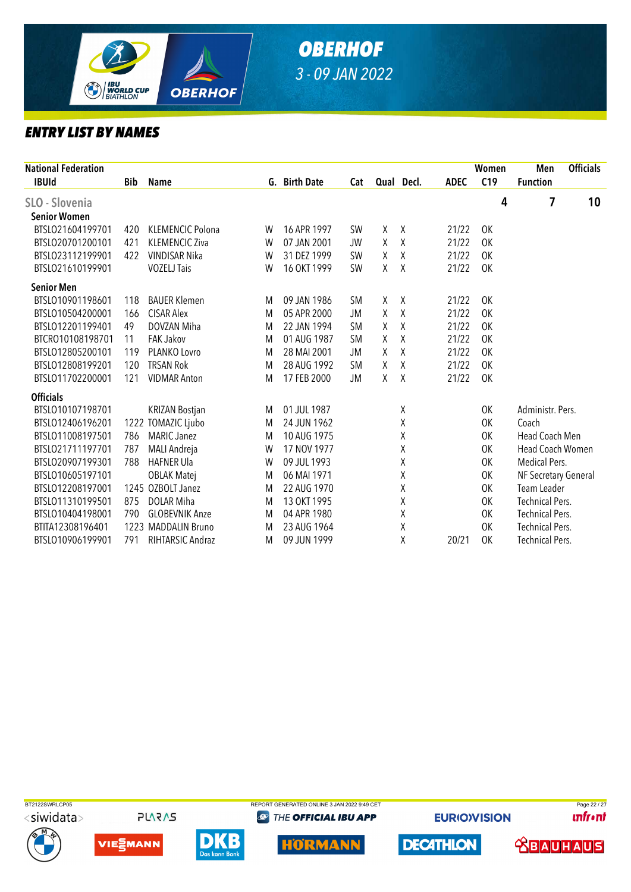

|            |                       |                                                                                           |             |                              |           |         |                                     | Women | Men             | <b>Officials</b>                                                                                                                                                                                                            |
|------------|-----------------------|-------------------------------------------------------------------------------------------|-------------|------------------------------|-----------|---------|-------------------------------------|-------|-----------------|-----------------------------------------------------------------------------------------------------------------------------------------------------------------------------------------------------------------------------|
| <b>Bib</b> | Name                  |                                                                                           |             | Cat                          |           |         | <b>ADEC</b>                         | C19   | <b>Function</b> |                                                                                                                                                                                                                             |
|            |                       |                                                                                           |             |                              |           |         |                                     |       |                 | 10                                                                                                                                                                                                                          |
|            |                       |                                                                                           |             |                              |           |         |                                     |       |                 |                                                                                                                                                                                                                             |
|            |                       | W                                                                                         |             |                              | X         |         |                                     |       |                 |                                                                                                                                                                                                                             |
| 421        | <b>KLEMENCIC Ziva</b> | W                                                                                         | 07 JAN 2001 | <b>JW</b>                    | χ         |         | 21/22                               | 0K    |                 |                                                                                                                                                                                                                             |
| 422        | <b>VINDISAR Nika</b>  | W                                                                                         | 31 DEZ 1999 | <b>SW</b>                    | Χ         |         | 21/22                               | 0K    |                 |                                                                                                                                                                                                                             |
|            | <b>VOZELJ Tais</b>    | W                                                                                         | 16 OKT 1999 | <b>SW</b>                    | Χ         | Χ       | 21/22                               | OK    |                 |                                                                                                                                                                                                                             |
|            |                       |                                                                                           |             |                              |           |         |                                     |       |                 |                                                                                                                                                                                                                             |
| 118        | <b>BAUER Klemen</b>   | M                                                                                         | 09 JAN 1986 | <b>SM</b>                    | χ         | Χ       | 21/22                               | OK    |                 |                                                                                                                                                                                                                             |
| 166        | <b>CISAR Alex</b>     | M                                                                                         | 05 APR 2000 | JM                           | χ         | Χ       | 21/22                               | 0K    |                 |                                                                                                                                                                                                                             |
| 49         | DOVZAN Miha           | M                                                                                         | 22 JAN 1994 | <b>SM</b>                    | χ         | Χ       | 21/22                               | OK    |                 |                                                                                                                                                                                                                             |
| 11         | <b>FAK Jakov</b>      | M                                                                                         | 01 AUG 1987 | <b>SM</b>                    | Χ         | Χ       | 21/22                               | 0K    |                 |                                                                                                                                                                                                                             |
| 119        | PLANKO Lovro          | M                                                                                         | 28 MAI 2001 | JM                           | X         | $\sf X$ | 21/22                               | 0K    |                 |                                                                                                                                                                                                                             |
| 120        | <b>TRSAN Rok</b>      | M                                                                                         | 28 AUG 1992 | <b>SM</b>                    | Χ         | Χ       | 21/22                               | 0K    |                 |                                                                                                                                                                                                                             |
| 121        | <b>VIDMAR Anton</b>   | M                                                                                         | 17 FEB 2000 | JM                           | Χ         | Χ       | 21/22                               | OK    |                 |                                                                                                                                                                                                                             |
|            |                       |                                                                                           |             |                              |           |         |                                     |       |                 |                                                                                                                                                                                                                             |
|            | <b>KRIZAN Bostjan</b> | M                                                                                         | 01 JUL 1987 |                              |           | Χ       |                                     | 0K    |                 |                                                                                                                                                                                                                             |
|            |                       | M                                                                                         | 24 JUN 1962 |                              |           | χ       |                                     | 0K    | Coach           |                                                                                                                                                                                                                             |
| 786        | <b>MARIC Janez</b>    | M                                                                                         | 10 AUG 1975 |                              |           | Χ       |                                     | 0K    |                 |                                                                                                                                                                                                                             |
| 787        | MALI Andreja          | W                                                                                         | 17 NOV 1977 |                              |           | χ       |                                     | 0K    |                 |                                                                                                                                                                                                                             |
| 788        | <b>HAFNER Ula</b>     | W                                                                                         | 09 JUL 1993 |                              |           | χ       |                                     | 0K    |                 |                                                                                                                                                                                                                             |
|            | <b>OBLAK Matej</b>    | M                                                                                         | 06 MAI 1971 |                              |           | χ       |                                     | OK    |                 |                                                                                                                                                                                                                             |
|            |                       | M                                                                                         | 22 AUG 1970 |                              |           | χ       |                                     | 0K    |                 |                                                                                                                                                                                                                             |
| 875        | DOLAR Miha            | M                                                                                         | 13 OKT 1995 |                              |           | χ       |                                     | 0K    |                 |                                                                                                                                                                                                                             |
| 790        | <b>GLOBEVNIK Anze</b> | M                                                                                         | 04 APR 1980 |                              |           | Χ       |                                     | 0K    |                 |                                                                                                                                                                                                                             |
|            |                       | M                                                                                         | 23 AUG 1964 |                              |           | χ       |                                     | 0K    |                 |                                                                                                                                                                                                                             |
| 791        | RIHTARSIC Andraz      | M                                                                                         | 09 JUN 1999 |                              |           | Χ       | 20/21                               | 0K    |                 |                                                                                                                                                                                                                             |
|            | 420                   | <b>KLEMENCIC Polona</b><br>1222 TOMAZIC Ljubo<br>1245 OZBOLT Janez<br>1223 MADDALIN Bruno |             | G. Birth Date<br>16 APR 1997 | <b>SW</b> |         | Qual Decl.<br>$\chi$<br>χ<br>$\chi$ | 21/22 | 4<br>0K         | 7<br>Administr. Pers.<br>Head Coach Men<br><b>Head Coach Women</b><br>Medical Pers.<br>NF Secretary General<br>Team Leader<br><b>Technical Pers.</b><br><b>Technical Pers.</b><br>Technical Pers.<br><b>Technical Pers.</b> |



**PLARAS** 







**@** THE OFFICIAL IBU APP



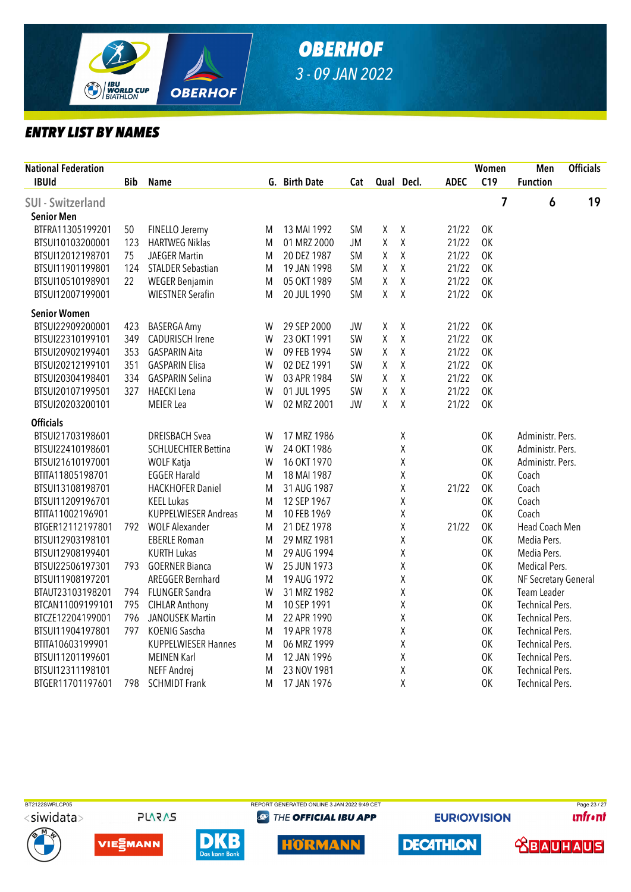

| <b>National Federation</b> |            |                            |   |               |           |        |              |             | Women     | Men                    | <b>Officials</b> |
|----------------------------|------------|----------------------------|---|---------------|-----------|--------|--------------|-------------|-----------|------------------------|------------------|
| <b>IBUId</b>               | <b>Bib</b> | <b>Name</b>                |   | G. Birth Date | Cat       |        | Qual Decl.   | <b>ADEC</b> | C19       | <b>Function</b>        |                  |
| <b>SUI</b> - Switzerland   |            |                            |   |               |           |        |              |             | 7         | $\boldsymbol{6}$       | 19               |
| <b>Senior Men</b>          |            |                            |   |               |           |        |              |             |           |                        |                  |
| BTFRA11305199201           | 50         | FINELLO Jeremy             | M | 13 MAI 1992   | <b>SM</b> | $\chi$ | $\mathsf X$  | 21/22       | OK        |                        |                  |
| BTSUI10103200001           | 123        | <b>HARTWEG Niklas</b>      | M | 01 MRZ 2000   | <b>JM</b> | Χ      | $\mathsf X$  | 21/22       | <b>OK</b> |                        |                  |
| BTSUI12012198701           | 75         | <b>JAEGER Martin</b>       | M | 20 DEZ 1987   | <b>SM</b> | χ      | Χ            | 21/22       | 0K        |                        |                  |
| BTSUI11901199801           | 124        | <b>STALDER Sebastian</b>   | M | 19 JAN 1998   | SM        | Χ      | $\mathsf X$  | 21/22       | OK        |                        |                  |
| BTSUI10510198901           | 22         | <b>WEGER Benjamin</b>      | M | 05 OKT 1989   | <b>SM</b> | χ      | Χ            | 21/22       | 0K        |                        |                  |
| BTSUI12007199001           |            | <b>WIESTNER Serafin</b>    | M | 20 JUL 1990   | SM        | Χ      | $\sf X$      | 21/22       | <b>OK</b> |                        |                  |
| <b>Senior Women</b>        |            |                            |   |               |           |        |              |             |           |                        |                  |
| BTSUI22909200001           | 423        | <b>BASERGA Amy</b>         | W | 29 SEP 2000   | <b>JW</b> | χ      | $\chi$       | 21/22       | <b>OK</b> |                        |                  |
| BTSUI22310199101           | 349        | <b>CADURISCH Irene</b>     | W | 23 OKT 1991   | SW        | Χ      | $\mathsf{X}$ | 21/22       | <b>OK</b> |                        |                  |
| BTSUI20902199401           | 353        | <b>GASPARIN Aita</b>       | W | 09 FEB 1994   | SW        | χ      | Χ            | 21/22       | 0K        |                        |                  |
| BTSUI20212199101           | 351        | <b>GASPARIN Elisa</b>      | W | 02 DEZ 1991   | SW        | χ      | $\mathsf X$  | 21/22       | OK        |                        |                  |
| BTSUI20304198401           | 334        | <b>GASPARIN Selina</b>     | W | 03 APR 1984   | SW        | Χ      | $\mathsf X$  | 21/22       | 0K        |                        |                  |
| BTSUI20107199501           | 327        | <b>HAECKI</b> Lena         | W | 01 JUL 1995   | SW        | Χ      | Χ            | 21/22       | 0K        |                        |                  |
| BTSUI20203200101           |            | <b>MEIER Lea</b>           | W | 02 MRZ 2001   | <b>JW</b> | χ      | $\mathsf X$  | 21/22       | <b>OK</b> |                        |                  |
| <b>Officials</b>           |            |                            |   |               |           |        |              |             |           |                        |                  |
| BTSUI21703198601           |            | <b>DREISBACH Svea</b>      | W | 17 MRZ 1986   |           |        | Χ            |             | 0K        | Administr. Pers.       |                  |
| BTSUI22410198601           |            | <b>SCHLUECHTER Bettina</b> | W | 24 OKT 1986   |           |        | χ            |             | 0K        | Administr. Pers.       |                  |
| BTSUI21610197001           |            | <b>WOLF Katja</b>          | W | 16 OKT 1970   |           |        | Χ            |             | 0K        | Administr. Pers.       |                  |
| BTITA11805198701           |            | <b>EGGER Harald</b>        | M | 18 MAI 1987   |           |        | Χ            |             | <b>OK</b> | Coach                  |                  |
| BTSUI13108198701           |            | <b>HACKHOFER Daniel</b>    | M | 31 AUG 1987   |           |        | Χ            | 21/22       | 0K        | Coach                  |                  |
| BTSUI11209196701           |            | <b>KEEL Lukas</b>          | M | 12 SEP 1967   |           |        | Χ            |             | <b>OK</b> | Coach                  |                  |
| BTITA11002196901           |            | KUPPELWIESER Andreas       | M | 10 FEB 1969   |           |        | Χ            |             | OK        | Coach                  |                  |
| BTGER12112197801           | 792        | <b>WOLF Alexander</b>      | M | 21 DEZ 1978   |           |        | Χ            | 21/22       | OK        | Head Coach Men         |                  |
| BTSUI12903198101           |            | <b>EBERLE Roman</b>        | M | 29 MRZ 1981   |           |        | χ            |             | 0K        | Media Pers.            |                  |
| BTSUI12908199401           |            | <b>KURTH Lukas</b>         | M | 29 AUG 1994   |           |        | Χ            |             | <b>OK</b> | Media Pers.            |                  |
| BTSUI22506197301           | 793        | <b>GOERNER Bianca</b>      | W | 25 JUN 1973   |           |        | Χ            |             | 0K        | Medical Pers.          |                  |
| BTSUI11908197201           |            | <b>AREGGER Bernhard</b>    | M | 19 AUG 1972   |           |        | Χ            |             | 0K        | NF Secretary General   |                  |
| BTAUT23103198201           | 794        | FLUNGER Sandra             | W | 31 MRZ 1982   |           |        | Χ            |             | <b>OK</b> | Team Leader            |                  |
| BTCAN11009199101           | 795        | <b>CIHLAR Anthony</b>      | M | 10 SEP 1991   |           |        | Χ            |             | 0K        | <b>Technical Pers.</b> |                  |
| BTCZE12204199001           | 796        | <b>JANOUSEK Martin</b>     | M | 22 APR 1990   |           |        | Χ            |             | OK        | <b>Technical Pers.</b> |                  |
| BTSUI11904197801           | 797        | KOENIG Sascha              | M | 19 APR 1978   |           |        | Χ            |             | 0K        | <b>Technical Pers.</b> |                  |
| BTITA10603199901           |            | <b>KUPPELWIESER Hannes</b> | M | 06 MRZ 1999   |           |        | Χ            |             | 0K        | <b>Technical Pers.</b> |                  |
| BTSUI11201199601           |            | <b>MEINEN Karl</b>         | M | 12 JAN 1996   |           |        | Χ            |             | 0K        | <b>Technical Pers.</b> |                  |
| BTSUI12311198101           |            | NEFF Andrej                | M | 23 NOV 1981   |           |        | Χ            |             | <b>OK</b> | <b>Technical Pers.</b> |                  |
| BTGER11701197601           | 798        | <b>SCHMIDT Frank</b>       | M | 17 JAN 1976   |           |        | Χ            |             | 0K        | <b>Technical Pers.</b> |                  |



**PLARAS** 











**DECATHLON** 

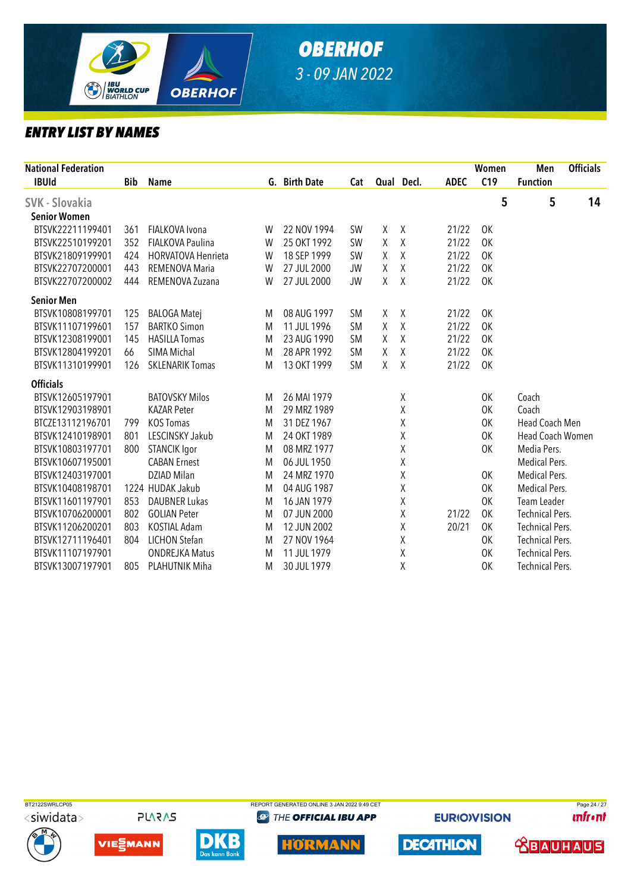

| <b>National Federation</b> |            |                           |   |               |           |            |              |             | Women     | Men                     | <b>Officials</b> |
|----------------------------|------------|---------------------------|---|---------------|-----------|------------|--------------|-------------|-----------|-------------------------|------------------|
| <b>IBUId</b>               | <b>Bib</b> | <b>Name</b>               |   | G. Birth Date | Cat       | Qual Decl. |              | <b>ADEC</b> | C19       | <b>Function</b>         |                  |
| <b>SVK - Slovakia</b>      |            |                           |   |               |           |            |              |             | 5         | 5                       | 14               |
| <b>Senior Women</b>        |            |                           |   |               |           |            |              |             |           |                         |                  |
| BTSVK22211199401           | 361        | FIALKOVA Ivona            | W | 22 NOV 1994   | <b>SW</b> | χ          | $\mathsf{X}$ | 21/22       | OK        |                         |                  |
| BTSVK22510199201           | 352        | <b>FIALKOVA Paulina</b>   | W | 25 OKT 1992   | <b>SW</b> | X          | $\chi$       | 21/22       | OK        |                         |                  |
| BTSVK21809199901           | 424        | <b>HORVATOVA Henrieta</b> | W | 18 SEP 1999   | <b>SW</b> | χ          | $\chi$       | 21/22       | OK        |                         |                  |
| BTSVK22707200001           | 443        | <b>REMENOVA Maria</b>     | W | 27 JUL 2000   | <b>JW</b> | χ          | $\chi$       | 21/22       | 0K        |                         |                  |
| BTSVK22707200002           | 444        | REMENOVA Zuzana           | W | 27 JUL 2000   | <b>JW</b> | χ          | $\chi$       | 21/22       | <b>OK</b> |                         |                  |
| <b>Senior Men</b>          |            |                           |   |               |           |            |              |             |           |                         |                  |
| BTSVK10808199701           | 125        | <b>BALOGA Matej</b>       | M | 08 AUG 1997   | <b>SM</b> | χ          | $\chi$       | 21/22       | <b>OK</b> |                         |                  |
| BTSVK11107199601           | 157        | <b>BARTKO Simon</b>       | M | 11 JUL 1996   | <b>SM</b> | χ          | $\chi$       | 21/22       | 0K        |                         |                  |
| BTSVK12308199001           | 145        | <b>HASILLA Tomas</b>      | M | 23 AUG 1990   | <b>SM</b> | X          | $\chi$       | 21/22       | 0K        |                         |                  |
| BTSVK12804199201           | 66         | SIMA Michal               | M | 28 APR 1992   | <b>SM</b> | χ          | $\chi$       | 21/22       | OK        |                         |                  |
| BTSVK11310199901           | 126        | <b>SKLENARIK Tomas</b>    | M | 13 OKT 1999   | <b>SM</b> | X          | $\chi$       | 21/22       | <b>OK</b> |                         |                  |
| <b>Officials</b>           |            |                           |   |               |           |            |              |             |           |                         |                  |
| BTSVK12605197901           |            | <b>BATOVSKY Milos</b>     | M | 26 MAI 1979   |           |            | χ            |             | OK        | Coach                   |                  |
| BTSVK12903198901           |            | <b>KAZAR Peter</b>        | M | 29 MRZ 1989   |           |            | χ            |             | 0K        | Coach                   |                  |
| BTCZE13112196701           | 799        | <b>KOS Tomas</b>          | M | 31 DEZ 1967   |           |            | χ            |             | 0K        | Head Coach Men          |                  |
| BTSVK12410198901           | 801        | LESCINSKY Jakub           | M | 24 OKT 1989   |           |            | χ            |             | 0K        | <b>Head Coach Women</b> |                  |
| BTSVK10803197701           | 800        | <b>STANCIK Igor</b>       | M | 08 MRZ 1977   |           |            | χ            |             | 0K        | Media Pers.             |                  |
| BTSVK10607195001           |            | <b>CABAN Ernest</b>       | M | 06 JUL 1950   |           |            | χ            |             |           | Medical Pers.           |                  |
| BTSVK12403197001           |            | DZIAD Milan               | M | 24 MRZ 1970   |           |            | χ            |             | 0K        | Medical Pers.           |                  |
| BTSVK10408198701           |            | 1224 HUDAK Jakub          | M | 04 AUG 1987   |           |            | χ            |             | 0K        | Medical Pers.           |                  |
| BTSVK11601197901           | 853        | <b>DAUBNER Lukas</b>      | M | 16 JAN 1979   |           |            | χ            |             | 0K        | Team Leader             |                  |
| BTSVK10706200001           | 802        | <b>GOLIAN Peter</b>       | M | 07 JUN 2000   |           |            | χ            | 21/22       | 0K        | <b>Technical Pers.</b>  |                  |
| BTSVK11206200201           | 803        | <b>KOSTIAL Adam</b>       | M | 12 JUN 2002   |           |            | Χ            | 20/21       | OK        | <b>Technical Pers.</b>  |                  |
| BTSVK12711196401           | 804        | <b>LICHON Stefan</b>      | M | 27 NOV 1964   |           |            | χ            |             | 0K        | <b>Technical Pers.</b>  |                  |
| BTSVK11107197901           |            | <b>ONDREJKA Matus</b>     | M | 11 JUL 1979   |           |            | χ            |             | 0K        | <b>Technical Pers.</b>  |                  |
| BTSVK13007197901           | 805        | PLAHUTNIK Miha            | M | 30 JUL 1979   |           |            | Χ            |             | 0K        | <b>Technical Pers.</b>  |                  |



**PLARAS** 







**@ THE OFFICIAL IBU APP** 



**EURIOVISION** 

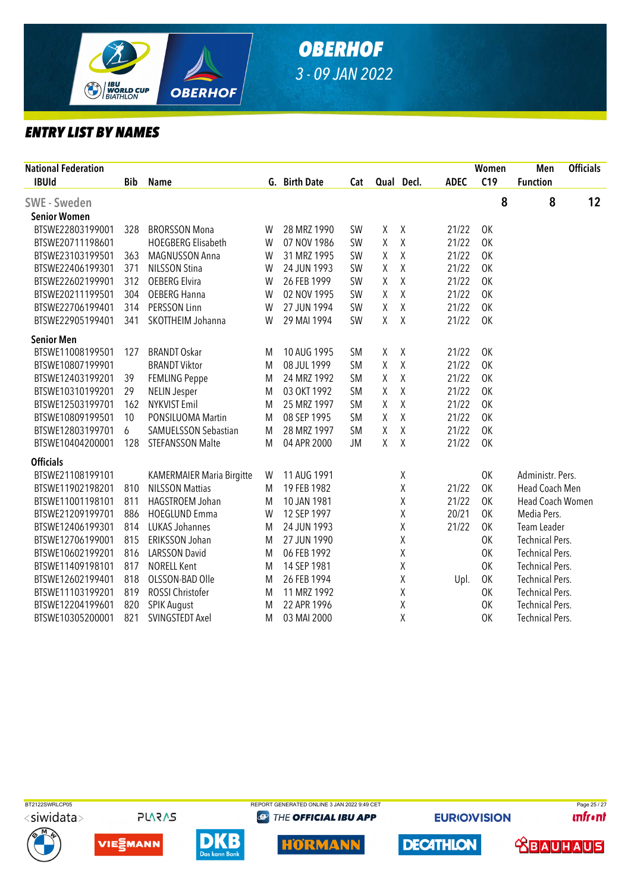

| <b>National Federation</b> |            |                             |   |               |           |   |            |             | Women     | Men                    | <b>Officials</b> |
|----------------------------|------------|-----------------------------|---|---------------|-----------|---|------------|-------------|-----------|------------------------|------------------|
| <b>IBUId</b>               | <b>Bib</b> | <b>Name</b>                 |   | G. Birth Date | Cat       |   | Qual Decl. | <b>ADEC</b> | C19       | <b>Function</b>        |                  |
| <b>SWE - Sweden</b>        |            |                             |   |               |           |   |            |             | 8         | 8                      | 12               |
| <b>Senior Women</b>        |            |                             |   |               |           |   |            |             |           |                        |                  |
| BTSWE22803199001           | 328        | <b>BRORSSON Mona</b>        | W | 28 MRZ 1990   | SW        | Χ | $\chi$     | 21/22       | 0K        |                        |                  |
| BTSWE20711198601           |            | <b>HOEGBERG Elisabeth</b>   | W | 07 NOV 1986   | <b>SW</b> | Χ | $\chi$     | 21/22       | 0K        |                        |                  |
| BTSWE23103199501           | 363        | <b>MAGNUSSON Anna</b>       | W | 31 MRZ 1995   | SW        | Χ | $\sf X$    | 21/22       | 0K        |                        |                  |
| BTSWE22406199301           | 371        | <b>NILSSON Stina</b>        | W | 24 JUN 1993   | SW        | Χ | Χ          | 21/22       | 0K        |                        |                  |
| BTSWE22602199901           | 312        | <b>OEBERG Elvira</b>        | W | 26 FEB 1999   | <b>SW</b> | Χ | Χ          | 21/22       | 0K        |                        |                  |
| BTSWE20211199501           | 304        | <b>OEBERG Hanna</b>         | W | 02 NOV 1995   | SW        | Χ | Χ          | 21/22       | OK        |                        |                  |
| BTSWE22706199401           | 314        | PERSSON Linn                | W | 27 JUN 1994   | <b>SW</b> | Χ | Χ          | 21/22       | 0K        |                        |                  |
| BTSWE22905199401           | 341        | SKOTTHEIM Johanna           | W | 29 MAI 1994   | SW        | Χ | $\chi$     | 21/22       | <b>OK</b> |                        |                  |
| <b>Senior Men</b>          |            |                             |   |               |           |   |            |             |           |                        |                  |
| BTSWE11008199501           | 127        | <b>BRANDT Oskar</b>         | M | 10 AUG 1995   | <b>SM</b> | Χ | χ          | 21/22       | OK        |                        |                  |
| BTSWE10807199901           |            | <b>BRANDT Viktor</b>        | M | 08 JUL 1999   | <b>SM</b> | Χ | Χ          | 21/22       | 0K        |                        |                  |
| BTSWE12403199201           | 39         | <b>FEMLING Peppe</b>        | M | 24 MRZ 1992   | <b>SM</b> | Χ | χ          | 21/22       | 0K        |                        |                  |
| BTSWE10310199201           | 29         | <b>NELIN Jesper</b>         | M | 03 OKT 1992   | <b>SM</b> | Χ | Χ          | 21/22       | 0K        |                        |                  |
| BTSWE12503199701           | 162        | <b>NYKVIST Emil</b>         | M | 25 MRZ 1997   | <b>SM</b> | Χ | Χ          | 21/22       | 0K        |                        |                  |
| BTSWE10809199501           | 10         | PONSILUOMA Martin           | M | 08 SEP 1995   | <b>SM</b> | Χ | Χ          | 21/22       | 0K        |                        |                  |
| BTSWE12803199701           | 6          | <b>SAMUELSSON Sebastian</b> | M | 28 MRZ 1997   | <b>SM</b> | Χ | Χ          | 21/22       | 0K        |                        |                  |
| BTSWE10404200001           | 128        | <b>STEFANSSON Malte</b>     | M | 04 APR 2000   | JM        | Χ | $\chi$     | 21/22       | 0K        |                        |                  |
| <b>Officials</b>           |            |                             |   |               |           |   |            |             |           |                        |                  |
| BTSWE21108199101           |            | KAMERMAIER Maria Birgitte   | W | 11 AUG 1991   |           |   | Χ          |             | OK        | Administr. Pers.       |                  |
| BTSWE11902198201           | 810        | <b>NILSSON Mattias</b>      | M | 19 FEB 1982   |           |   | Χ          | 21/22       | 0K        | Head Coach Men         |                  |
| BTSWE11001198101           | 811        | HAGSTROEM Johan             | M | 10 JAN 1981   |           |   | χ          | 21/22       | 0K        | Head Coach Women       |                  |
| BTSWE21209199701           | 886        | <b>HOEGLUND Emma</b>        | W | 12 SEP 1997   |           |   | χ          | 20/21       | 0K        | Media Pers.            |                  |
| BTSWE12406199301           | 814        | <b>LUKAS Johannes</b>       | M | 24 JUN 1993   |           |   | Χ          | 21/22       | OK        | Team Leader            |                  |
| BTSWE12706199001           | 815        | ERIKSSON Johan              | M | 27 JUN 1990   |           |   | χ          |             | 0K        | <b>Technical Pers.</b> |                  |
| BTSWE10602199201           | 816        | <b>LARSSON David</b>        | M | 06 FEB 1992   |           |   | Χ          |             | 0K        | <b>Technical Pers.</b> |                  |
| BTSWE11409198101           | 817        | <b>NORELL Kent</b>          | M | 14 SEP 1981   |           |   | Χ          |             | 0K        | <b>Technical Pers.</b> |                  |
| BTSWE12602199401           | 818        | OLSSON-BAD Olle             | M | 26 FEB 1994   |           |   | Χ          | Upl.        | 0K        | <b>Technical Pers.</b> |                  |
| BTSWE11103199201           | 819        | ROSSI Christofer            | M | 11 MRZ 1992   |           |   | χ          |             | 0K        | <b>Technical Pers.</b> |                  |
| BTSWE12204199601           | 820        | <b>SPIK August</b>          | M | 22 APR 1996   |           |   | χ          |             | 0K        | <b>Technical Pers.</b> |                  |
| BTSWE10305200001           | 821        | SVINGSTEDT Axel             | M | 03 MAI 2000   |           |   | χ          |             | 0K        | <b>Technical Pers.</b> |                  |



**PLARAS** 









**@ THE OFFICIAL IBU APP** 



**EURIOVISION** 

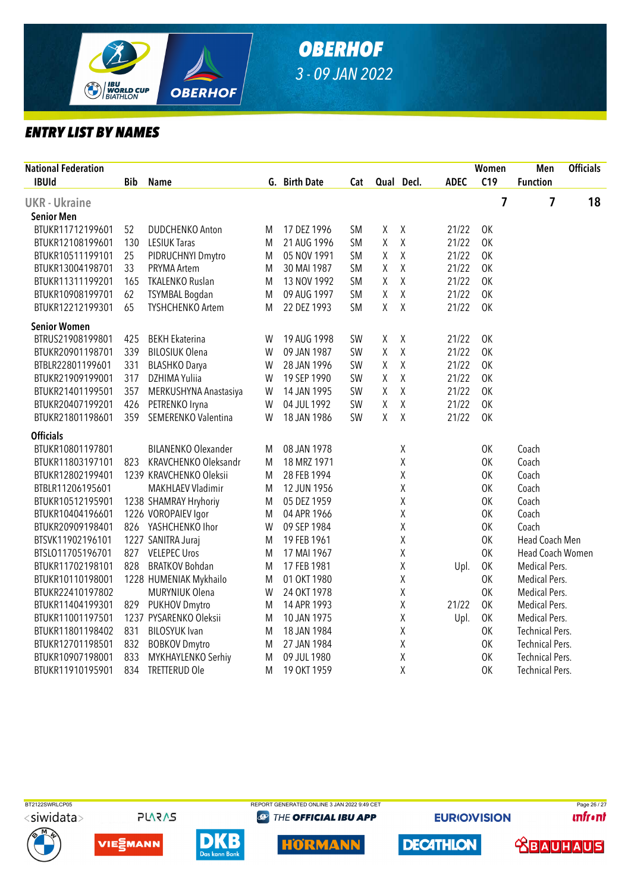

| <b>National Federation</b> |            |                            |   |               |           |         |            |             | Women     | Men                    | <b>Officials</b> |
|----------------------------|------------|----------------------------|---|---------------|-----------|---------|------------|-------------|-----------|------------------------|------------------|
| <b>IBUId</b>               | <b>Bib</b> | <b>Name</b>                |   | G. Birth Date | Cat       |         | Qual Decl. | <b>ADEC</b> | C19       | <b>Function</b>        |                  |
| <b>UKR - Ukraine</b>       |            |                            |   |               |           |         |            |             | 7         | 7                      | 18               |
| Senior Men                 |            |                            |   |               |           |         |            |             |           |                        |                  |
| BTUKR11712199601           | 52         | <b>DUDCHENKO Anton</b>     | M | 17 DEZ 1996   | <b>SM</b> | Χ       | χ          | 21/22       | 0K        |                        |                  |
| BTUKR12108199601           | 130        | <b>LESIUK Taras</b>        | M | 21 AUG 1996   | <b>SM</b> | χ       | Χ          | 21/22       | 0K        |                        |                  |
| BTUKR10511199101           | 25         | PIDRUCHNYI Dmytro          | M | 05 NOV 1991   | <b>SM</b> | X       | $\sf X$    | 21/22       | 0K        |                        |                  |
| BTUKR13004198701           | 33         | PRYMA Artem                | M | 30 MAI 1987   | <b>SM</b> | Χ       | Χ          | 21/22       | 0K        |                        |                  |
| BTUKR11311199201           | 165        | <b>TKALENKO Ruslan</b>     | M | 13 NOV 1992   | <b>SM</b> | χ       | $\sf X$    | 21/22       | 0K        |                        |                  |
| BTUKR10908199701           | 62         | <b>TSYMBAL Bogdan</b>      | M | 09 AUG 1997   | <b>SM</b> | Χ       | $\sf X$    | 21/22       | 0K        |                        |                  |
| BTUKR12212199301           | 65         | <b>TYSHCHENKO Artem</b>    | M | 22 DEZ 1993   | <b>SM</b> | Χ       | $\chi$     | 21/22       | 0K        |                        |                  |
| <b>Senior Women</b>        |            |                            |   |               |           |         |            |             |           |                        |                  |
| BTRUS21908199801           | 425        | <b>BEKH Ekaterina</b>      | W | 19 AUG 1998   | SW        | χ       | Χ          | 21/22       | 0K        |                        |                  |
| BTUKR20901198701           | 339        | <b>BILOSIUK Olena</b>      | W | 09 JAN 1987   | SW        | $\sf X$ | Χ          | 21/22       | 0K        |                        |                  |
| BTBLR22801199601           | 331        | <b>BLASHKO Darya</b>       | W | 28 JAN 1996   | SW        | Χ       | Χ          | 21/22       | 0K        |                        |                  |
| BTUKR21909199001           | 317        | DZHIMA Yuliia              | W | 19 SEP 1990   | SW        | χ       | Χ          | 21/22       | 0K        |                        |                  |
| BTUKR21401199501           | 357        | MERKUSHYNA Anastasiya      | W | 14 JAN 1995   | SW        | Χ       | $\sf X$    | 21/22       | 0K        |                        |                  |
| BTUKR20407199201           | 426        | PETRENKO Iryna             | W | 04 JUL 1992   | SW        | Χ       | Χ          | 21/22       | 0K        |                        |                  |
| BTUKR21801198601           | 359        | SEMERENKO Valentina        | W | 18 JAN 1986   | <b>SW</b> | X       | $\sf X$    | 21/22       | <b>OK</b> |                        |                  |
| <b>Officials</b>           |            |                            |   |               |           |         |            |             |           |                        |                  |
| BTUKR10801197801           |            | <b>BILANENKO Olexander</b> | M | 08 JAN 1978   |           |         | χ          |             | 0K        | Coach                  |                  |
| BTUKR11803197101           | 823        | KRAVCHENKO Oleksandr       | M | 18 MRZ 1971   |           |         | χ          |             | 0K        | Coach                  |                  |
| BTUKR12802199401           |            | 1239 KRAVCHENKO Oleksii    | M | 28 FEB 1994   |           |         | χ          |             | OK        | Coach                  |                  |
| BTBLR11206195601           |            | <b>MAKHLAEV Vladimir</b>   | M | 12 JUN 1956   |           |         | χ          |             | 0K        | Coach                  |                  |
| BTUKR10512195901           |            | 1238 SHAMRAY Hryhoriy      | M | 05 DEZ 1959   |           |         | χ          |             | 0K        | Coach                  |                  |
| BTUKR10404196601           |            | 1226 VOROPAIEV Igor        | M | 04 APR 1966   |           |         | χ          |             | 0K        | Coach                  |                  |
| BTUKR20909198401           |            | 826 YASHCHENKO Ihor        | W | 09 SEP 1984   |           |         | χ          |             | 0K        | Coach                  |                  |
| BTSVK11902196101           |            | 1227 SANITRA Juraj         | M | 19 FEB 1961   |           |         | χ          |             | 0K        | Head Coach Men         |                  |
| BTSL011705196701           | 827        | <b>VELEPEC Uros</b>        | M | 17 MAI 1967   |           |         | Χ          |             | 0K        | Head Coach Women       |                  |
| BTUKR11702198101           | 828        | <b>BRATKOV Bohdan</b>      | M | 17 FEB 1981   |           |         | χ          | Upl.        | 0K        | Medical Pers.          |                  |
| BTUKR10110198001           |            | 1228 HUMENIAK Mykhailo     | M | 01 OKT 1980   |           |         | χ          |             | 0K        | Medical Pers.          |                  |
| BTUKR22410197802           |            | <b>MURYNIUK Olena</b>      | W | 24 OKT 1978   |           |         | Χ          |             | <b>OK</b> | Medical Pers.          |                  |
| BTUKR11404199301           | 829        | <b>PUKHOV Dmytro</b>       | M | 14 APR 1993   |           |         | χ          | 21/22       | <b>OK</b> | Medical Pers.          |                  |
| BTUKR11001197501           |            | 1237 PYSARENKO Oleksii     | M | 10 JAN 1975   |           |         | χ          | Upl.        | 0K        | Medical Pers.          |                  |
| BTUKR11801198402           | 831        | <b>BILOSYUK Ivan</b>       | M | 18 JAN 1984   |           |         | χ          |             | 0K        | <b>Technical Pers.</b> |                  |
| BTUKR12701198501           | 832        | <b>BOBKOV Dmytro</b>       | M | 27 JAN 1984   |           |         | Χ          |             | 0K        | <b>Technical Pers.</b> |                  |
| BTUKR10907198001           | 833        | MYKHAYLENKO Serhiy         | M | 09 JUL 1980   |           |         | Χ          |             | 0K        | <b>Technical Pers.</b> |                  |
| BTUKR11910195901           | 834        | <b>TRETTERUD Ole</b>       | M | 19 OKT 1959   |           |         | χ          |             | 0K        | <b>Technical Pers.</b> |                  |



<siwidata>









**@ THE OFFICIAL IBU APP** 

**EURIOVISION** 

**DECATHLON** 

BT2122SWRLCP05 REPORT GENERATED ONLINE 3 JAN 2022 9:49 CET PAGE 26 / 27 **unfront**